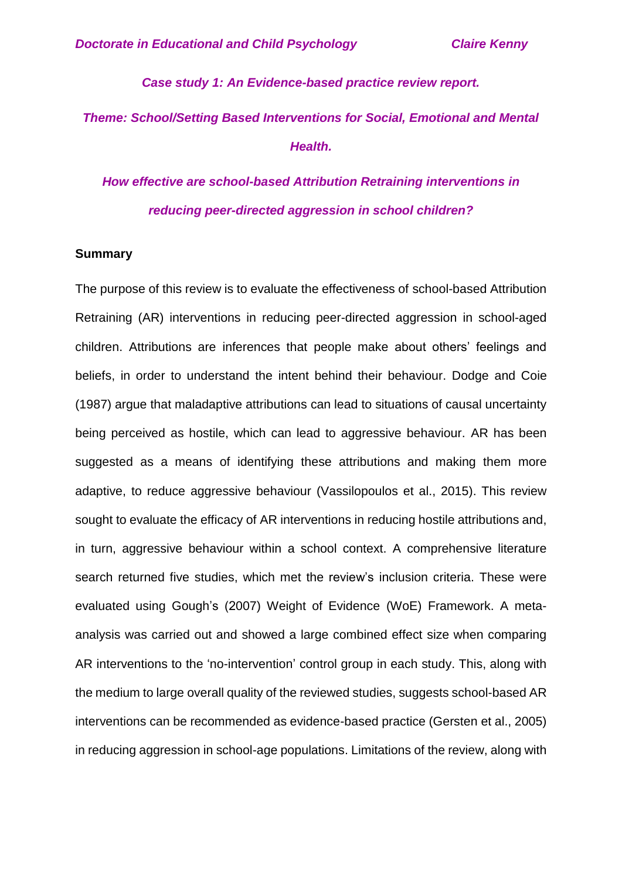### *Case study 1: An Evidence-based practice review report.*

# *Theme: School/Setting Based Interventions for Social, Emotional and Mental Health.*

*How effective are school-based Attribution Retraining interventions in reducing peer-directed aggression in school children?*

### **Summary**

The purpose of this review is to evaluate the effectiveness of school-based Attribution Retraining (AR) interventions in reducing peer-directed aggression in school-aged children. Attributions are inferences that people make about others' feelings and beliefs, in order to understand the intent behind their behaviour. Dodge and Coie (1987) argue that maladaptive attributions can lead to situations of causal uncertainty being perceived as hostile, which can lead to aggressive behaviour. AR has been suggested as a means of identifying these attributions and making them more adaptive, to reduce aggressive behaviour (Vassilopoulos et al., 2015). This review sought to evaluate the efficacy of AR interventions in reducing hostile attributions and, in turn, aggressive behaviour within a school context. A comprehensive literature search returned five studies, which met the review's inclusion criteria. These were evaluated using Gough's (2007) Weight of Evidence (WoE) Framework. A metaanalysis was carried out and showed a large combined effect size when comparing AR interventions to the 'no-intervention' control group in each study. This, along with the medium to large overall quality of the reviewed studies, suggests school-based AR interventions can be recommended as evidence-based practice (Gersten et al., 2005) in reducing aggression in school-age populations. Limitations of the review, along with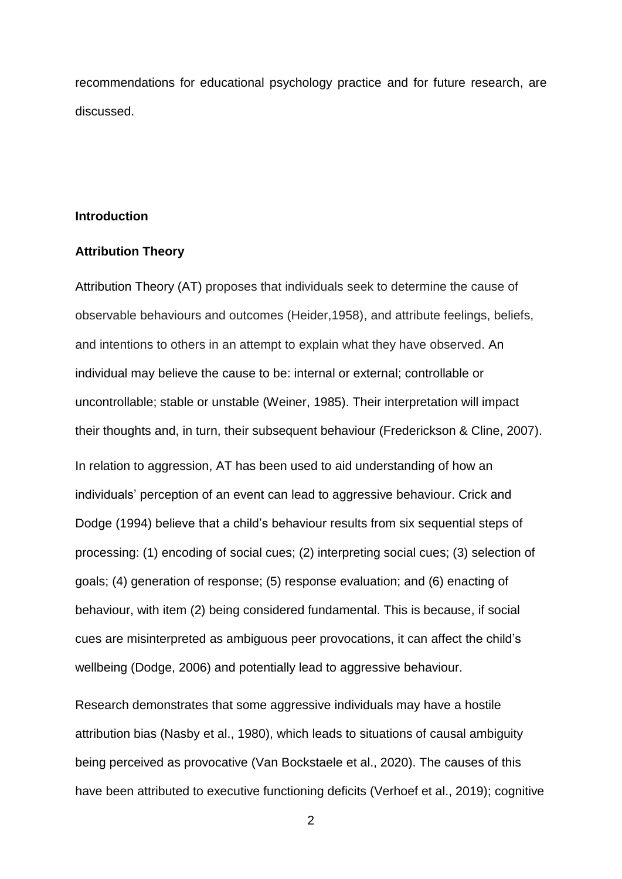recommendations for educational psychology practice and for future research, are discussed.

### **Introduction**

### **Attribution Theory**

Attribution Theory (AT) proposes that individuals seek to determine the cause of observable behaviours and outcomes (Heider,1958), and attribute feelings, beliefs, and intentions to others in an attempt to explain what they have observed. An individual may believe the cause to be: internal or external; controllable or uncontrollable; stable or unstable (Weiner, 1985). Their interpretation will impact their thoughts and, in turn, their subsequent behaviour (Frederickson & Cline, 2007). In relation to aggression, AT has been used to aid understanding of how an individuals' perception of an event can lead to aggressive behaviour. Crick and Dodge (1994) believe that a child's behaviour results from six sequential steps of processing: (1) encoding of social cues; (2) interpreting social cues; (3) selection of goals; (4) generation of response; (5) response evaluation; and (6) enacting of behaviour, with item (2) being considered fundamental. This is because, if social cues are misinterpreted as ambiguous peer provocations, it can affect the child's wellbeing (Dodge, 2006) and potentially lead to aggressive behaviour.

Research demonstrates that some aggressive individuals may have a hostile attribution bias (Nasby et al., 1980), which leads to situations of causal ambiguity being perceived as provocative (Van Bockstaele et al., 2020). The causes of this have been attributed to executive functioning deficits (Verhoef et al., 2019); cognitive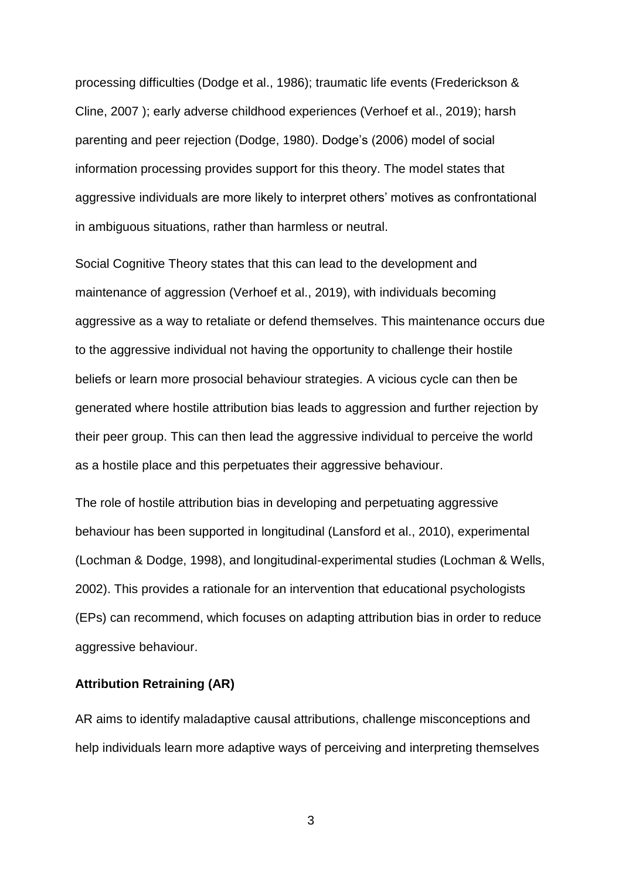processing difficulties (Dodge et al., 1986); traumatic life events (Frederickson & Cline, 2007 ); early adverse childhood experiences (Verhoef et al., 2019); harsh parenting and peer rejection (Dodge, 1980). Dodge's (2006) model of social information processing provides support for this theory. The model states that aggressive individuals are more likely to interpret others' motives as confrontational in ambiguous situations, rather than harmless or neutral.

Social Cognitive Theory states that this can lead to the development and maintenance of aggression (Verhoef et al., 2019), with individuals becoming aggressive as a way to retaliate or defend themselves. This maintenance occurs due to the aggressive individual not having the opportunity to challenge their hostile beliefs or learn more prosocial behaviour strategies. A vicious cycle can then be generated where hostile attribution bias leads to aggression and further rejection by their peer group. This can then lead the aggressive individual to perceive the world as a hostile place and this perpetuates their aggressive behaviour.

The role of hostile attribution bias in developing and perpetuating aggressive behaviour has been supported in longitudinal (Lansford et al., 2010), experimental (Lochman & Dodge, 1998), and longitudinal-experimental studies (Lochman & Wells, 2002). This provides a rationale for an intervention that educational psychologists (EPs) can recommend, which focuses on adapting attribution bias in order to reduce aggressive behaviour.

### **Attribution Retraining (AR)**

AR aims to identify maladaptive causal attributions, challenge misconceptions and help individuals learn more adaptive ways of perceiving and interpreting themselves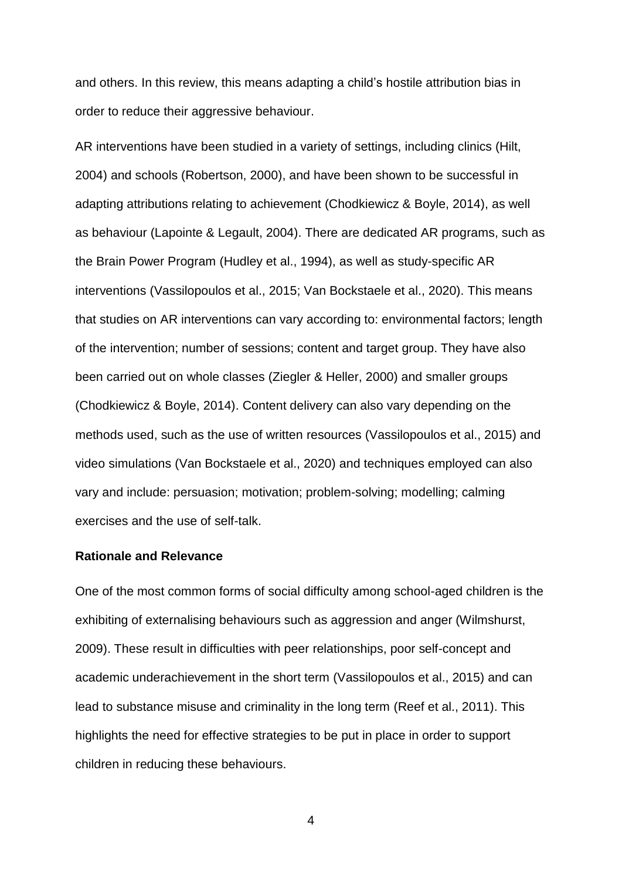and others. In this review, this means adapting a child's hostile attribution bias in order to reduce their aggressive behaviour.

AR interventions have been studied in a variety of settings, including clinics (Hilt, 2004) and schools (Robertson, 2000), and have been shown to be successful in adapting attributions relating to achievement (Chodkiewicz & Boyle, 2014), as well as behaviour (Lapointe & Legault, 2004). There are dedicated AR programs, such as the Brain Power Program (Hudley et al., 1994), as well as study-specific AR interventions (Vassilopoulos et al., 2015; Van Bockstaele et al., 2020). This means that studies on AR interventions can vary according to: environmental factors; length of the intervention; number of sessions; content and target group. They have also been carried out on whole classes (Ziegler & Heller, 2000) and smaller groups (Chodkiewicz & Boyle, 2014). Content delivery can also vary depending on the methods used, such as the use of written resources (Vassilopoulos et al., 2015) and video simulations (Van Bockstaele et al., 2020) and techniques employed can also vary and include: persuasion; motivation; problem-solving; modelling; calming exercises and the use of self-talk.

### **Rationale and Relevance**

One of the most common forms of social difficulty among school-aged children is the exhibiting of externalising behaviours such as aggression and anger (Wilmshurst, 2009). These result in difficulties with peer relationships, poor self-concept and academic underachievement in the short term (Vassilopoulos et al., 2015) and can lead to substance misuse and criminality in the long term (Reef et al., 2011). This highlights the need for effective strategies to be put in place in order to support children in reducing these behaviours.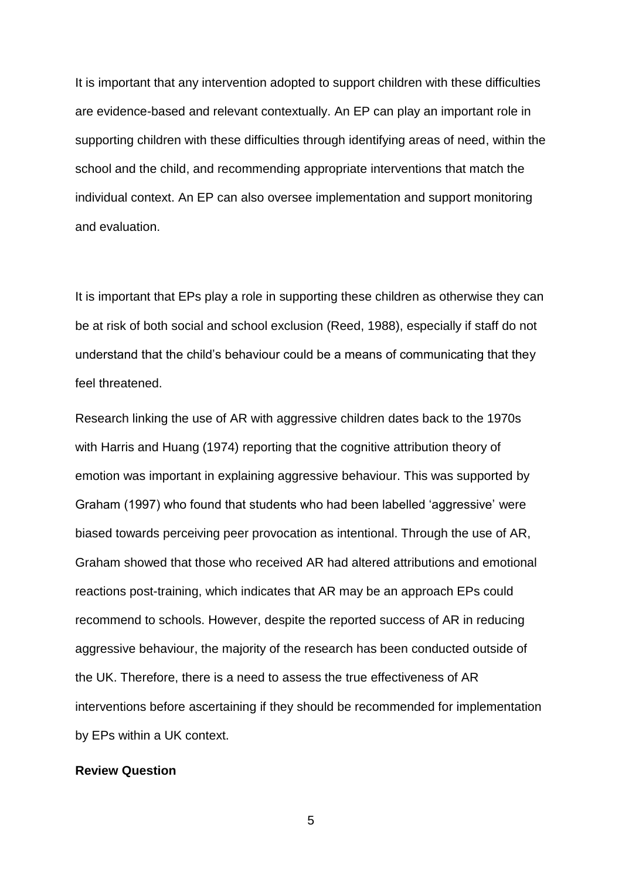It is important that any intervention adopted to support children with these difficulties are evidence-based and relevant contextually. An EP can play an important role in supporting children with these difficulties through identifying areas of need, within the school and the child, and recommending appropriate interventions that match the individual context. An EP can also oversee implementation and support monitoring and evaluation.

It is important that EPs play a role in supporting these children as otherwise they can be at risk of both social and school exclusion (Reed, 1988), especially if staff do not understand that the child's behaviour could be a means of communicating that they feel threatened.

Research linking the use of AR with aggressive children dates back to the 1970s with Harris and Huang (1974) reporting that the cognitive attribution theory of emotion was important in explaining aggressive behaviour. This was supported by Graham (1997) who found that students who had been labelled 'aggressive' were biased towards perceiving peer provocation as intentional. Through the use of AR, Graham showed that those who received AR had altered attributions and emotional reactions post-training, which indicates that AR may be an approach EPs could recommend to schools. However, despite the reported success of AR in reducing aggressive behaviour, the majority of the research has been conducted outside of the UK. Therefore, there is a need to assess the true effectiveness of AR interventions before ascertaining if they should be recommended for implementation by EPs within a UK context.

### **Review Question**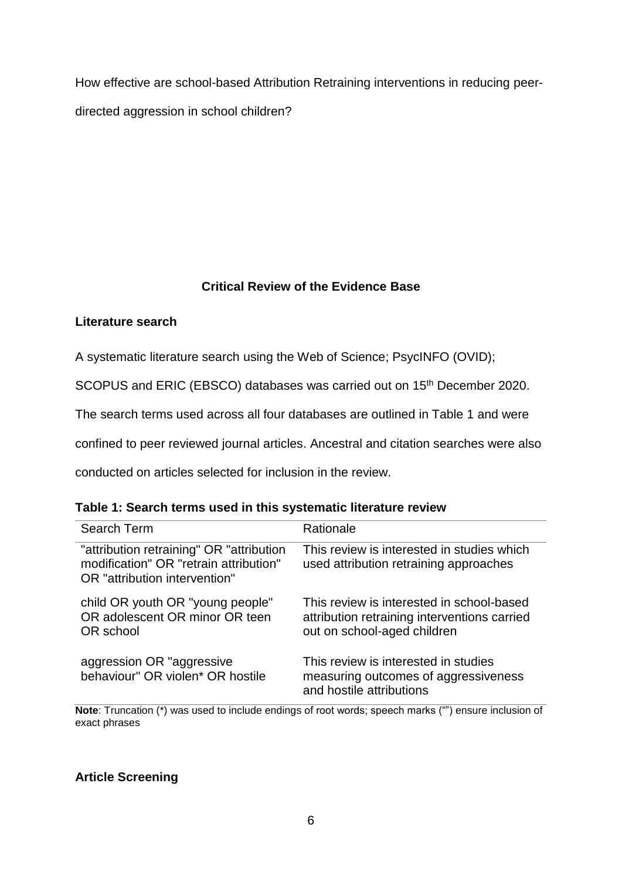How effective are school-based Attribution Retraining interventions in reducing peerdirected aggression in school children?

## **Critical Review of the Evidence Base**

## **Literature search**

A systematic literature search using the Web of Science; PsycINFO (OVID);

SCOPUS and ERIC (EBSCO) databases was carried out on 15<sup>th</sup> December 2020.

The search terms used across all four databases are outlined in Table 1 and were

confined to peer reviewed journal articles. Ancestral and citation searches were also

conducted on articles selected for inclusion in the review.

| Search Term                                                                                                         | Rationale                                                                                                                |
|---------------------------------------------------------------------------------------------------------------------|--------------------------------------------------------------------------------------------------------------------------|
| "attribution retraining" OR "attribution<br>modification" OR "retrain attribution"<br>OR "attribution intervention" | This review is interested in studies which<br>used attribution retraining approaches                                     |
| child OR youth OR "young people"<br>OR adolescent OR minor OR teen<br>OR school                                     | This review is interested in school-based<br>attribution retraining interventions carried<br>out on school-aged children |
| aggression OR "aggressive<br>behaviour" OR violen* OR hostile                                                       | This review is interested in studies<br>measuring outcomes of aggressiveness<br>and hostile attributions                 |

**Note**: Truncation (\*) was used to include endings of root words; speech marks ("") ensure inclusion of exact phrases

### **Article Screening**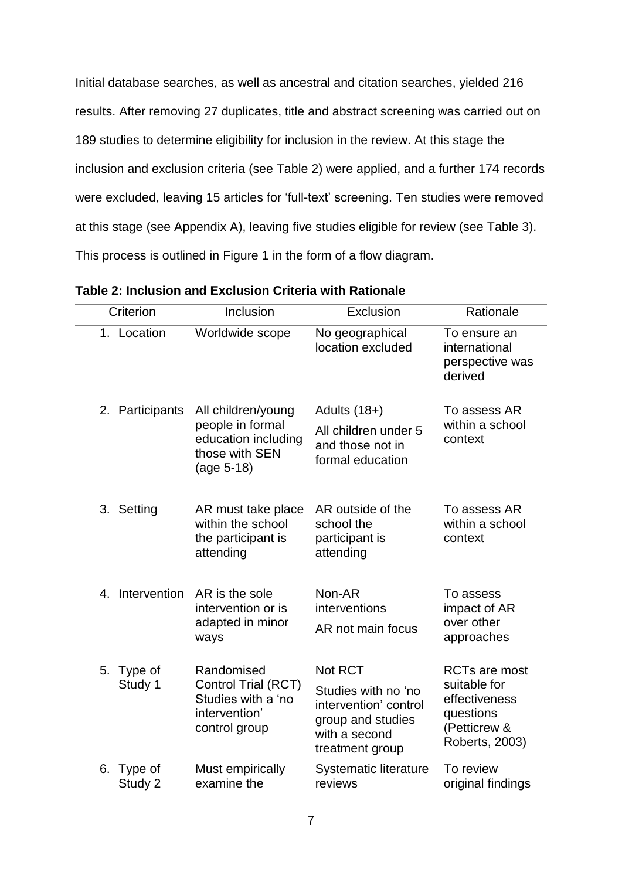Initial database searches, as well as ancestral and citation searches, yielded 216 results. After removing 27 duplicates, title and abstract screening was carried out on 189 studies to determine eligibility for inclusion in the review. At this stage the inclusion and exclusion criteria (see Table 2) were applied, and a further 174 records were excluded, leaving 15 articles for 'full-text' screening. Ten studies were removed at this stage (see Appendix A), leaving five studies eligible for review (see Table 3). This process is outlined in Figure 1 in the form of a flow diagram.

| Criterion                   | Inclusion                                                                                     | Exclusion                                                                                                        | Rationale                                                                                            |
|-----------------------------|-----------------------------------------------------------------------------------------------|------------------------------------------------------------------------------------------------------------------|------------------------------------------------------------------------------------------------------|
| 1. Location                 | Worldwide scope                                                                               | No geographical<br>location excluded                                                                             | To ensure an<br>international<br>perspective was<br>derived                                          |
| 2. Participants             | All children/young<br>people in formal<br>education including<br>those with SEN<br>(age 5-18) | Adults $(18+)$<br>All children under 5<br>and those not in<br>formal education                                   | To assess AR<br>within a school<br>context                                                           |
| 3. Setting                  | AR must take place<br>within the school<br>the participant is<br>attending                    | AR outside of the<br>school the<br>participant is<br>attending                                                   | To assess AR<br>within a school<br>context                                                           |
| Intervention<br>$4_{\cdot}$ | AR is the sole<br>intervention or is<br>adapted in minor<br>ways                              | Non-AR<br>interventions<br>AR not main focus                                                                     | To assess<br>impact of AR<br>over other<br>approaches                                                |
| 5. Type of<br>Study 1       | Randomised<br>Control Trial (RCT)<br>Studies with a 'no<br>intervention'<br>control group     | Not RCT<br>Studies with no 'no<br>intervention' control<br>group and studies<br>with a second<br>treatment group | <b>RCTs are most</b><br>suitable for<br>effectiveness<br>questions<br>(Petticrew &<br>Roberts, 2003) |
| Type of<br>6.<br>Study 2    | Must empirically<br>examine the                                                               | Systematic literature<br>reviews                                                                                 | To review<br>original findings                                                                       |

| Table 2: Inclusion and Exclusion Criteria with Rationale |
|----------------------------------------------------------|
|                                                          |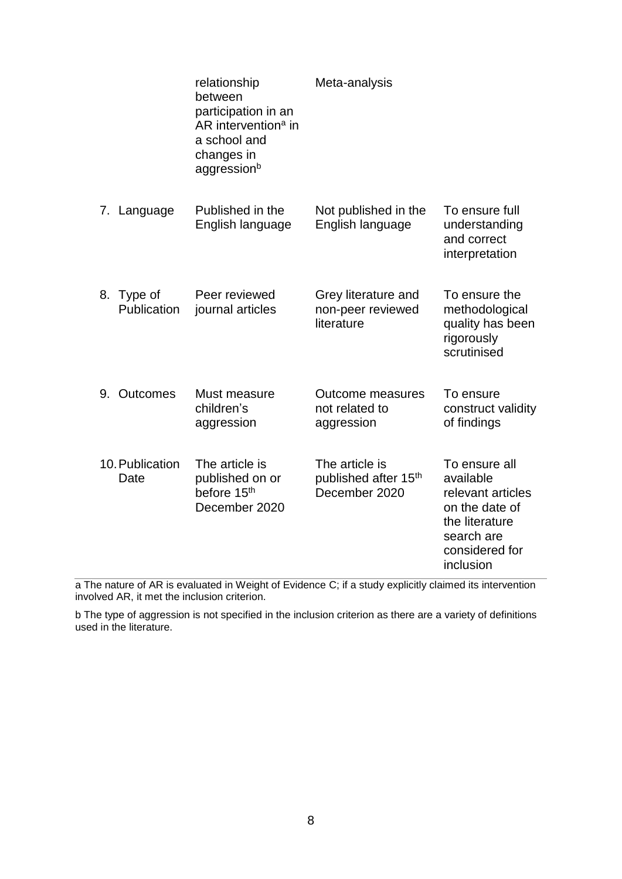|    |                         | relationship<br>between<br>participation in an<br>AR intervention <sup>a</sup> in<br>a school and<br>changes in<br>aggressionb | Meta-analysis                                           |                                                                                                                                  |
|----|-------------------------|--------------------------------------------------------------------------------------------------------------------------------|---------------------------------------------------------|----------------------------------------------------------------------------------------------------------------------------------|
|    | 7. Language             | Published in the<br>English language                                                                                           | Not published in the<br>English language                | To ensure full<br>understanding<br>and correct<br>interpretation                                                                 |
| 8. | Type of<br>Publication  | Peer reviewed<br>journal articles                                                                                              | Grey literature and<br>non-peer reviewed<br>literature  | To ensure the<br>methodological<br>quality has been<br>rigorously<br>scrutinised                                                 |
| 9. | Outcomes                | Must measure<br>children's<br>aggression                                                                                       | <b>Outcome measures</b><br>not related to<br>aggression | To ensure<br>construct validity<br>of findings                                                                                   |
|    | 10. Publication<br>Date | The article is<br>published on or<br>before 15 <sup>th</sup><br>December 2020                                                  | The article is<br>published after 15th<br>December 2020 | To ensure all<br>available<br>relevant articles<br>on the date of<br>the literature<br>search are<br>considered for<br>inclusion |

a The nature of AR is evaluated in Weight of Evidence C; if a study explicitly claimed its intervention involved AR, it met the inclusion criterion.

b The type of aggression is not specified in the inclusion criterion as there are a variety of definitions used in the literature.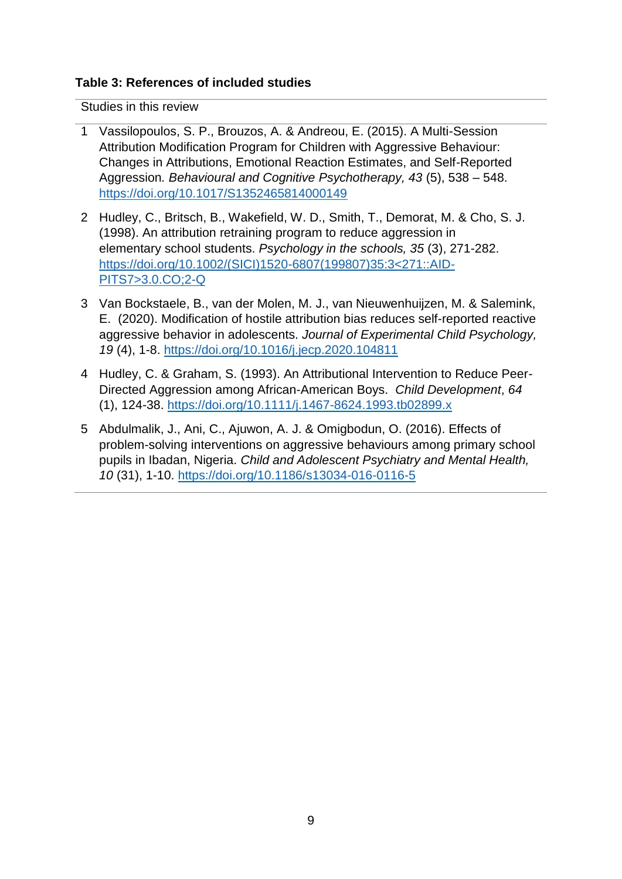## **Table 3: References of included studies**

Studies in this review

- 1 Vassilopoulos, S. P., Brouzos, A. & Andreou, E. (2015). A Multi-Session Attribution Modification Program for Children with Aggressive Behaviour: Changes in Attributions, Emotional Reaction Estimates, and Self-Reported Aggression*. Behavioural and Cognitive Psychotherapy, 43* (5), 538 – 548. <https://doi.org/10.1017/S1352465814000149>
- 2 Hudley, C., Britsch, B., Wakefield, W. D., Smith, T., Demorat, M. & Cho, S. J. (1998). An attribution retraining program to reduce aggression in elementary school students. *Psychology in the schools, 35* (3), 271-282. [https://doi.org/10.1002/\(SICI\)1520-6807\(199807\)35:3<271::AID-](https://doi.org/10.1002/(SICI)1520-6807(199807)35:3%3c271::AID-PITS7%3e3.0.CO;2-Q)[PITS7>3.0.CO;2-Q](https://doi.org/10.1002/(SICI)1520-6807(199807)35:3%3c271::AID-PITS7%3e3.0.CO;2-Q)
- 3 Van Bockstaele, B., van der Molen, M. J., van Nieuwenhuijzen, M. & Salemink, E. (2020). Modification of hostile attribution bias reduces self-reported reactive aggressive behavior in adolescents. *Journal of Experimental Child Psychology, 19* (4), 1-8. <https://doi.org/10.1016/j.jecp.2020.104811>
- 4 Hudley, C. & Graham, S. (1993). An Attributional Intervention to Reduce Peer-Directed Aggression among African-American Boys. *Child Development*, *64* (1), 124-38. <https://doi.org/10.1111/j.1467-8624.1993.tb02899.x>
- 5 Abdulmalik, J., Ani, C., Ajuwon, A. J. & Omigbodun, O. (2016). Effects of problem-solving interventions on aggressive behaviours among primary school pupils in Ibadan, Nigeria. *Child and Adolescent Psychiatry and Mental Health, 10* (31), 1-10. <https://doi.org/10.1186/s13034-016-0116-5>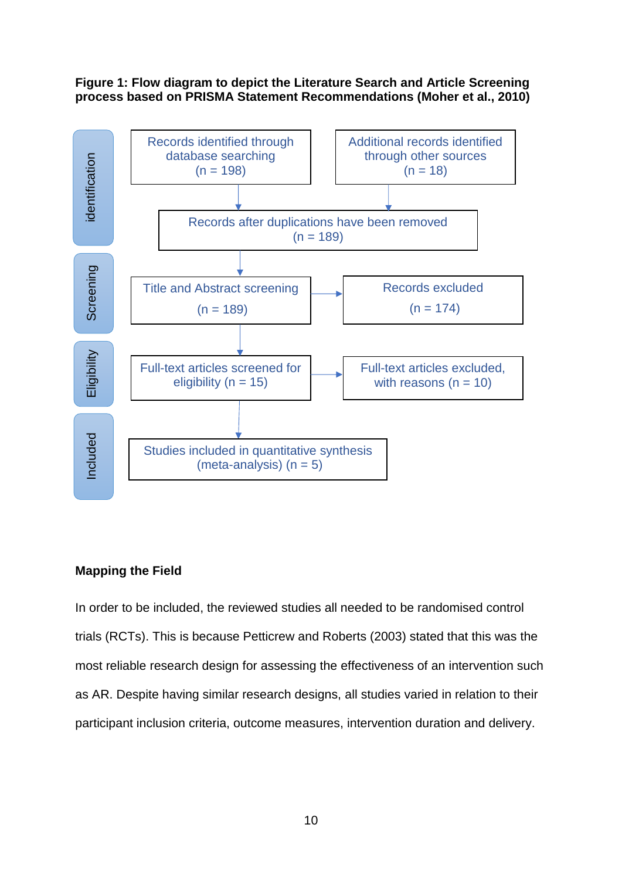### **Figure 1: Flow diagram to depict the Literature Search and Article Screening process based on PRISMA Statement Recommendations (Moher et al., 2010)**



### **Mapping the Field**

In order to be included, the reviewed studies all needed to be randomised control trials (RCTs). This is because Petticrew and Roberts (2003) stated that this was the most reliable research design for assessing the effectiveness of an intervention such as AR. Despite having similar research designs, all studies varied in relation to their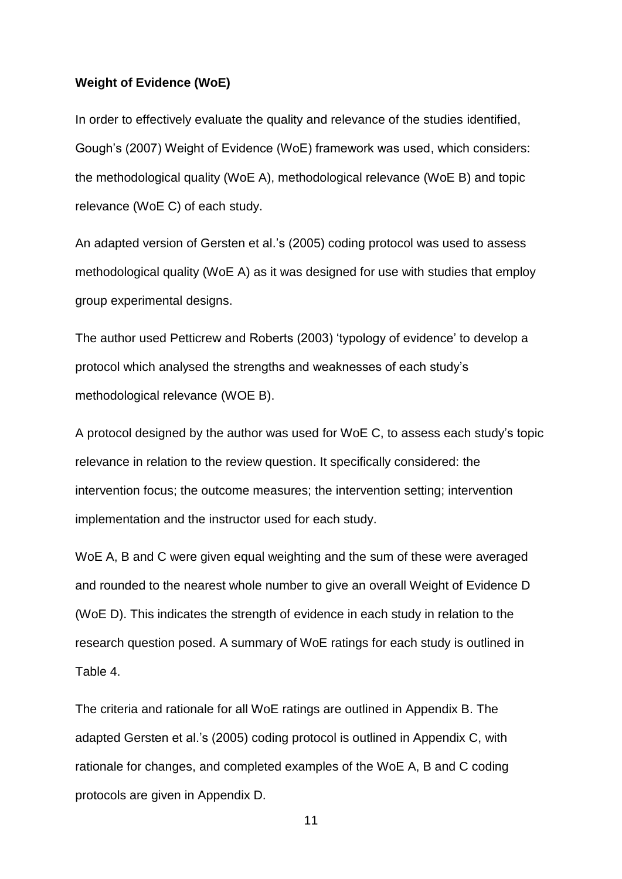### **Weight of Evidence (WoE)**

In order to effectively evaluate the quality and relevance of the studies identified, Gough's (2007) Weight of Evidence (WoE) framework was used, which considers: the methodological quality (WoE A), methodological relevance (WoE B) and topic relevance (WoE C) of each study.

An adapted version of Gersten et al.'s (2005) coding protocol was used to assess methodological quality (WoE A) as it was designed for use with studies that employ group experimental designs.

The author used Petticrew and Roberts (2003) 'typology of evidence' to develop a protocol which analysed the strengths and weaknesses of each study's methodological relevance (WOE B).

A protocol designed by the author was used for WoE C, to assess each study's topic relevance in relation to the review question. It specifically considered: the intervention focus; the outcome measures; the intervention setting; intervention implementation and the instructor used for each study.

WoE A, B and C were given equal weighting and the sum of these were averaged and rounded to the nearest whole number to give an overall Weight of Evidence D (WoE D). This indicates the strength of evidence in each study in relation to the research question posed. A summary of WoE ratings for each study is outlined in Table 4.

The criteria and rationale for all WoE ratings are outlined in Appendix B. The adapted Gersten et al.'s (2005) coding protocol is outlined in Appendix C, with rationale for changes, and completed examples of the WoE A, B and C coding protocols are given in Appendix D.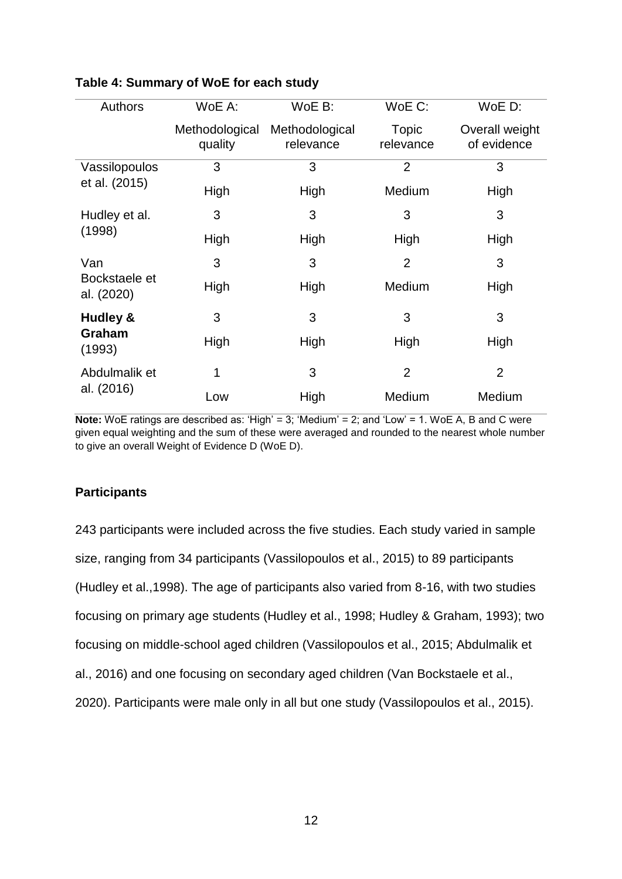| <b>Authors</b>              | WoE A:                    | WoE B:                      | WoE C:             | WoE D:                        |
|-----------------------------|---------------------------|-----------------------------|--------------------|-------------------------------|
|                             | Methodological<br>quality | Methodological<br>relevance | Topic<br>relevance | Overall weight<br>of evidence |
| Vassilopoulos               | 3                         | 3                           | $\overline{2}$     | 3                             |
| et al. (2015)               | High                      | High                        | Medium             | High                          |
| Hudley et al.               | 3                         | 3                           | 3                  | 3                             |
| (1998)                      | High                      | High                        | High               | High                          |
| Van                         | 3                         | 3                           | $\overline{2}$     | 3                             |
| Bockstaele et<br>al. (2020) | High                      | High                        | Medium             | High                          |
| Hudley &                    | 3                         | 3                           | 3                  | 3                             |
| Graham<br>(1993)            | High                      | High                        | High               | High                          |
| Abdulmalik et               | 1                         | 3                           | $\overline{2}$     | $\overline{2}$                |
| al. (2016)                  | Low                       | High                        | Medium             | Medium                        |

### **Table 4: Summary of WoE for each study**

**Note:** WoE ratings are described as: 'High' = 3; 'Medium' = 2; and 'Low' = 1. WoE A, B and C were given equal weighting and the sum of these were averaged and rounded to the nearest whole number to give an overall Weight of Evidence D (WoE D).

### **Participants**

243 participants were included across the five studies. Each study varied in sample size, ranging from 34 participants (Vassilopoulos et al., 2015) to 89 participants (Hudley et al.,1998). The age of participants also varied from 8-16, with two studies focusing on primary age students (Hudley et al., 1998; Hudley & Graham, 1993); two focusing on middle-school aged children (Vassilopoulos et al., 2015; Abdulmalik et al., 2016) and one focusing on secondary aged children (Van Bockstaele et al., 2020). Participants were male only in all but one study (Vassilopoulos et al., 2015).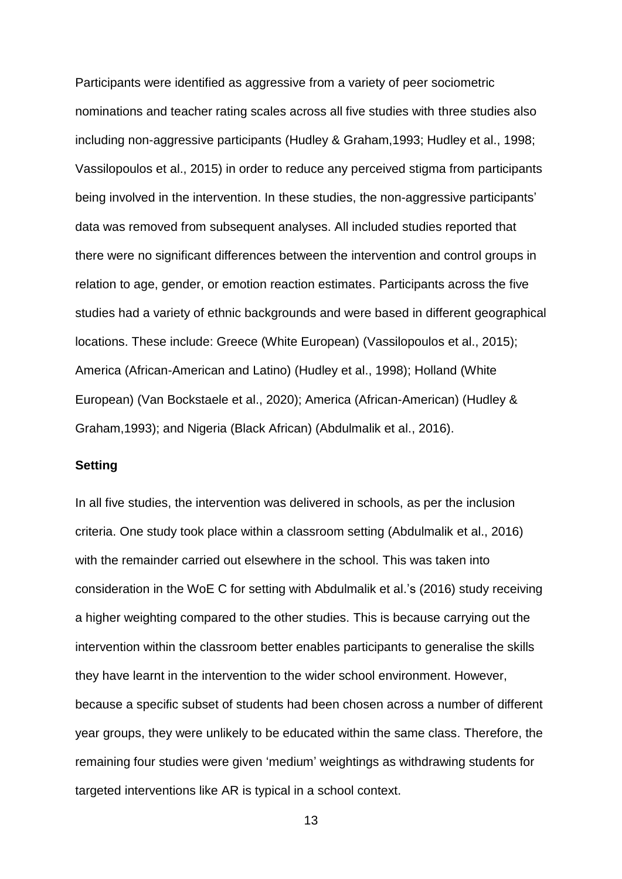Participants were identified as aggressive from a variety of peer sociometric nominations and teacher rating scales across all five studies with three studies also including non-aggressive participants (Hudley & Graham,1993; Hudley et al., 1998; Vassilopoulos et al., 2015) in order to reduce any perceived stigma from participants being involved in the intervention. In these studies, the non-aggressive participants' data was removed from subsequent analyses. All included studies reported that there were no significant differences between the intervention and control groups in relation to age, gender, or emotion reaction estimates. Participants across the five studies had a variety of ethnic backgrounds and were based in different geographical locations. These include: Greece (White European) (Vassilopoulos et al., 2015); America (African-American and Latino) (Hudley et al., 1998); Holland (White European) (Van Bockstaele et al., 2020); America (African-American) (Hudley & Graham,1993); and Nigeria (Black African) (Abdulmalik et al., 2016).

### **Setting**

In all five studies, the intervention was delivered in schools, as per the inclusion criteria. One study took place within a classroom setting (Abdulmalik et al., 2016) with the remainder carried out elsewhere in the school. This was taken into consideration in the WoE C for setting with Abdulmalik et al.'s (2016) study receiving a higher weighting compared to the other studies. This is because carrying out the intervention within the classroom better enables participants to generalise the skills they have learnt in the intervention to the wider school environment. However, because a specific subset of students had been chosen across a number of different year groups, they were unlikely to be educated within the same class. Therefore, the remaining four studies were given 'medium' weightings as withdrawing students for targeted interventions like AR is typical in a school context.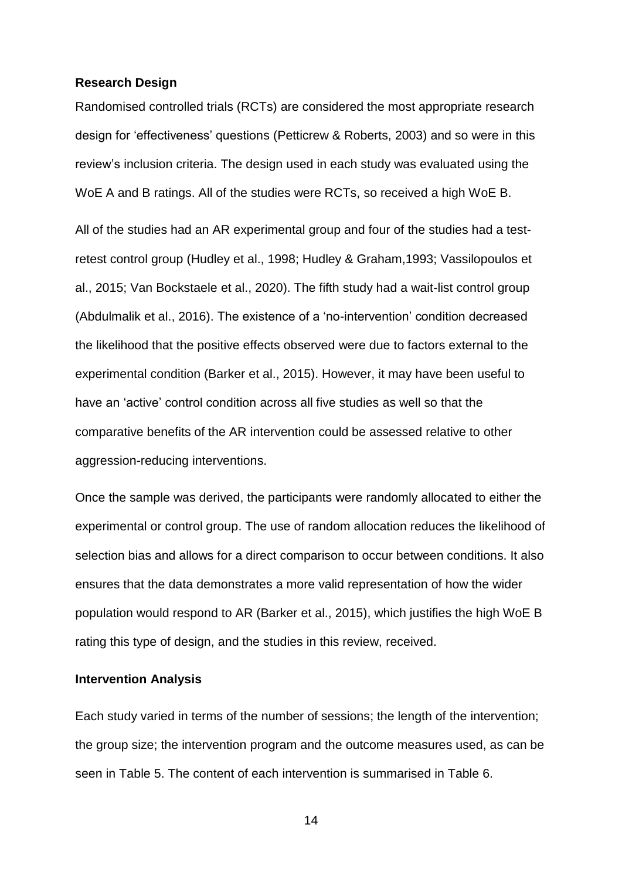### **Research Design**

Randomised controlled trials (RCTs) are considered the most appropriate research design for 'effectiveness' questions (Petticrew & Roberts, 2003) and so were in this review's inclusion criteria. The design used in each study was evaluated using the WoE A and B ratings. All of the studies were RCTs, so received a high WoE B.

All of the studies had an AR experimental group and four of the studies had a testretest control group (Hudley et al., 1998; Hudley & Graham,1993; Vassilopoulos et al., 2015; Van Bockstaele et al., 2020). The fifth study had a wait-list control group (Abdulmalik et al., 2016). The existence of a 'no-intervention' condition decreased the likelihood that the positive effects observed were due to factors external to the experimental condition (Barker et al., 2015). However, it may have been useful to have an 'active' control condition across all five studies as well so that the comparative benefits of the AR intervention could be assessed relative to other aggression-reducing interventions.

Once the sample was derived, the participants were randomly allocated to either the experimental or control group. The use of random allocation reduces the likelihood of selection bias and allows for a direct comparison to occur between conditions. It also ensures that the data demonstrates a more valid representation of how the wider population would respond to AR (Barker et al., 2015), which justifies the high WoE B rating this type of design, and the studies in this review, received.

### **Intervention Analysis**

Each study varied in terms of the number of sessions; the length of the intervention; the group size; the intervention program and the outcome measures used, as can be seen in Table 5. The content of each intervention is summarised in Table 6.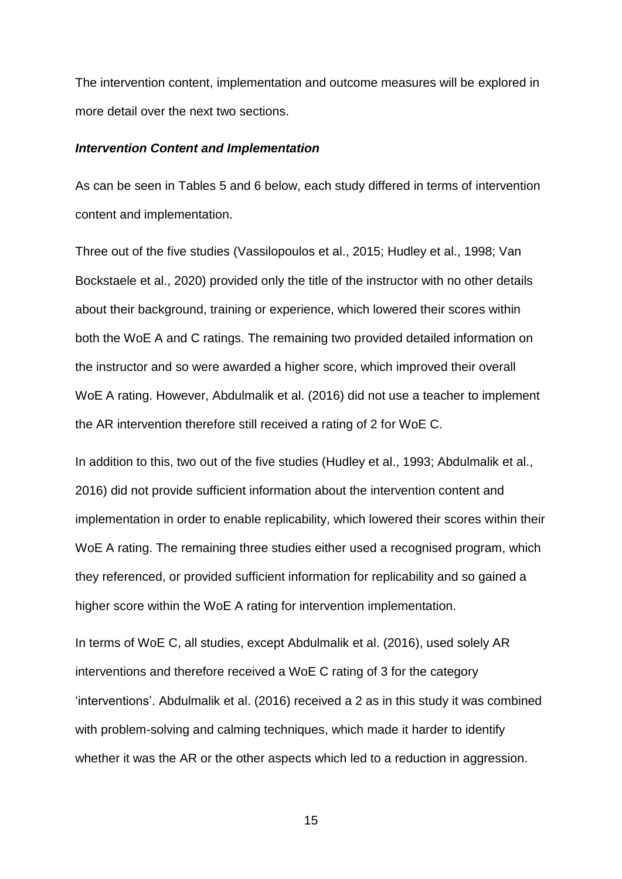The intervention content, implementation and outcome measures will be explored in more detail over the next two sections.

#### *Intervention Content and Implementation*

As can be seen in Tables 5 and 6 below, each study differed in terms of intervention content and implementation.

Three out of the five studies (Vassilopoulos et al., 2015; Hudley et al., 1998; Van Bockstaele et al., 2020) provided only the title of the instructor with no other details about their background, training or experience, which lowered their scores within both the WoE A and C ratings. The remaining two provided detailed information on the instructor and so were awarded a higher score, which improved their overall WoE A rating. However, Abdulmalik et al. (2016) did not use a teacher to implement the AR intervention therefore still received a rating of 2 for WoE C.

In addition to this, two out of the five studies (Hudley et al., 1993; Abdulmalik et al., 2016) did not provide sufficient information about the intervention content and implementation in order to enable replicability, which lowered their scores within their WoE A rating. The remaining three studies either used a recognised program, which they referenced, or provided sufficient information for replicability and so gained a higher score within the WoE A rating for intervention implementation.

In terms of WoE C, all studies, except Abdulmalik et al. (2016), used solely AR interventions and therefore received a WoE C rating of 3 for the category 'interventions'. Abdulmalik et al. (2016) received a 2 as in this study it was combined with problem-solving and calming techniques, which made it harder to identify whether it was the AR or the other aspects which led to a reduction in aggression.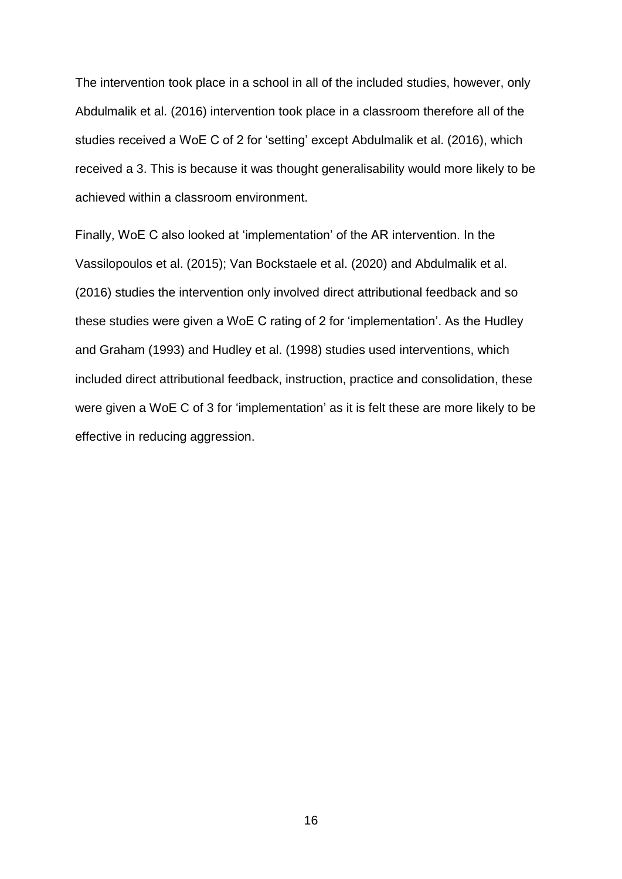The intervention took place in a school in all of the included studies, however, only Abdulmalik et al. (2016) intervention took place in a classroom therefore all of the studies received a WoE C of 2 for 'setting' except Abdulmalik et al. (2016), which received a 3. This is because it was thought generalisability would more likely to be achieved within a classroom environment.

Finally, WoE C also looked at 'implementation' of the AR intervention. In the Vassilopoulos et al. (2015); Van Bockstaele et al. (2020) and Abdulmalik et al. (2016) studies the intervention only involved direct attributional feedback and so these studies were given a WoE C rating of 2 for 'implementation'. As the Hudley and Graham (1993) and Hudley et al. (1998) studies used interventions, which included direct attributional feedback, instruction, practice and consolidation, these were given a WoE C of 3 for 'implementation' as it is felt these are more likely to be effective in reducing aggression.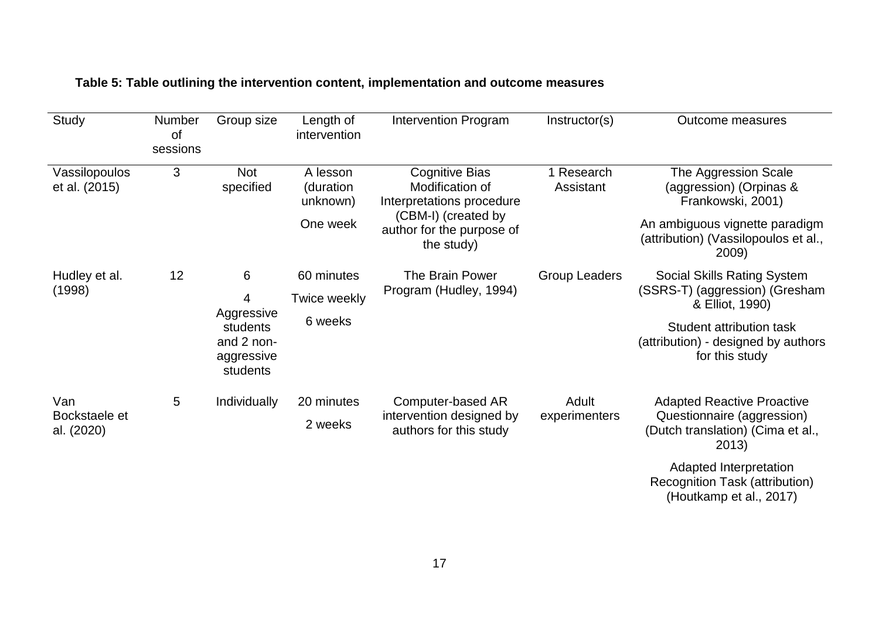| Study                              | Number<br>of | Group size                                                               | Length of<br>intervention                     | <b>Intervention Program</b>                                                                                                             | Instructor(s)           | <b>Outcome measures</b>                                                                                                                                                   |
|------------------------------------|--------------|--------------------------------------------------------------------------|-----------------------------------------------|-----------------------------------------------------------------------------------------------------------------------------------------|-------------------------|---------------------------------------------------------------------------------------------------------------------------------------------------------------------------|
|                                    | sessions     |                                                                          |                                               |                                                                                                                                         |                         |                                                                                                                                                                           |
| Vassilopoulos<br>et al. (2015)     | 3            | <b>Not</b><br>specified                                                  | A lesson<br>(duration<br>unknown)<br>One week | <b>Cognitive Bias</b><br>Modification of<br>Interpretations procedure<br>(CBM-I) (created by<br>author for the purpose of<br>the study) | 1 Research<br>Assistant | The Aggression Scale<br>(aggression) (Orpinas &<br>Frankowski, 2001)<br>An ambiguous vignette paradigm<br>(attribution) (Vassilopoulos et al.,<br>2009)                   |
| Hudley et al.<br>(1998)            | 12           | 6<br>4<br>Aggressive<br>students<br>and 2 non-<br>aggressive<br>students | 60 minutes<br>Twice weekly<br>6 weeks         | The Brain Power<br>Program (Hudley, 1994)                                                                                               | <b>Group Leaders</b>    | Social Skills Rating System<br>(SSRS-T) (aggression) (Gresham<br>& Elliot, 1990)<br>Student attribution task<br>(attribution) - designed by authors<br>for this study     |
| Van<br>Bockstaele et<br>al. (2020) | 5            | Individually                                                             | 20 minutes<br>2 weeks                         | Computer-based AR<br>intervention designed by<br>authors for this study                                                                 | Adult<br>experimenters  | <b>Adapted Reactive Proactive</b><br>Questionnaire (aggression)<br>(Dutch translation) (Cima et al.,<br>2013)<br>Adapted Interpretation<br>Recognition Task (attribution) |

# **Table 5: Table outlining the intervention content, implementation and outcome measures**

(Houtkamp et al., 2017)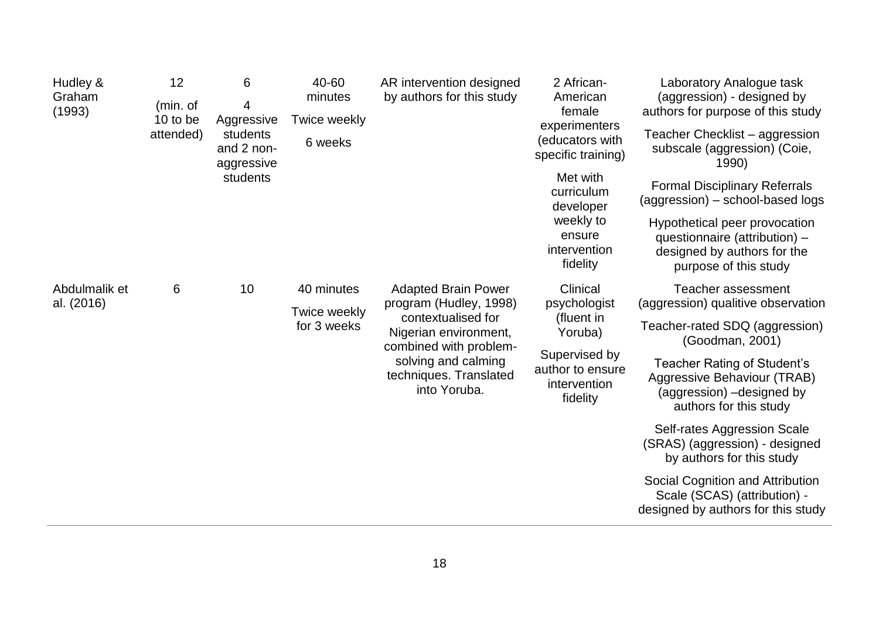| Hudley &<br>Graham<br>(1993) | 12<br>(min. of<br>10 to be<br>attended)                                                                                                                                                                                      | 6<br>4<br>Aggressive<br>students<br>and 2 non-<br>aggressive<br>students | 40-60<br>minutes<br>Twice weekly<br>6 weeks                                                                       | AR intervention designed<br>by authors for this study                                                                  | 2 African-<br>American<br>female<br>experimenters<br>(educators with<br>specific training)<br>Met with<br>curriculum<br>developer | Laboratory Analogue task<br>(aggression) - designed by<br>authors for purpose of this study<br>Teacher Checklist – aggression<br>subscale (aggression) (Coie,<br>1990)<br><b>Formal Disciplinary Referrals</b><br>(aggression) – school-based logs |
|------------------------------|------------------------------------------------------------------------------------------------------------------------------------------------------------------------------------------------------------------------------|--------------------------------------------------------------------------|-------------------------------------------------------------------------------------------------------------------|------------------------------------------------------------------------------------------------------------------------|-----------------------------------------------------------------------------------------------------------------------------------|----------------------------------------------------------------------------------------------------------------------------------------------------------------------------------------------------------------------------------------------------|
|                              |                                                                                                                                                                                                                              |                                                                          | weekly to<br>ensure<br>intervention<br>fidelity                                                                   | Hypothetical peer provocation<br>questionnaire (attribution) -<br>designed by authors for the<br>purpose of this study |                                                                                                                                   |                                                                                                                                                                                                                                                    |
| Abdulmalik et<br>al. (2016)  | 6<br>10<br>40 minutes<br><b>Adapted Brain Power</b><br>Twice weekly<br>contextualised for<br>for 3 weeks<br>Nigerian environment,<br>combined with problem-<br>solving and calming<br>techniques. Translated<br>into Yoruba. |                                                                          |                                                                                                                   | program (Hudley, 1998)                                                                                                 | Clinical<br>psychologist                                                                                                          | Teacher assessment<br>(aggression) qualitive observation                                                                                                                                                                                           |
|                              |                                                                                                                                                                                                                              |                                                                          | (fluent in<br>Yoruba)                                                                                             | Teacher-rated SDQ (aggression)<br>(Goodman, 2001)                                                                      |                                                                                                                                   |                                                                                                                                                                                                                                                    |
|                              |                                                                                                                                                                                                                              | Supervised by<br>author to ensure<br>intervention<br>fidelity            | Teacher Rating of Student's<br>Aggressive Behaviour (TRAB)<br>(aggression) -designed by<br>authors for this study |                                                                                                                        |                                                                                                                                   |                                                                                                                                                                                                                                                    |
|                              |                                                                                                                                                                                                                              |                                                                          |                                                                                                                   |                                                                                                                        | Self-rates Aggression Scale<br>(SRAS) (aggression) - designed<br>by authors for this study                                        |                                                                                                                                                                                                                                                    |
|                              |                                                                                                                                                                                                                              |                                                                          |                                                                                                                   |                                                                                                                        |                                                                                                                                   | Social Cognition and Attribution<br>Scale (SCAS) (attribution) -<br>designed by authors for this study                                                                                                                                             |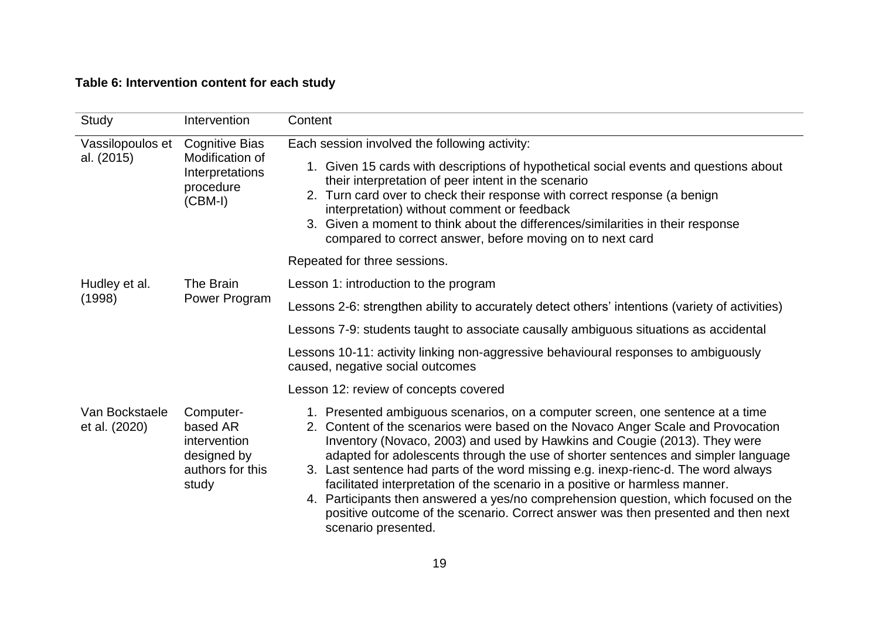# **Table 6: Intervention content for each study**

| Study                           | Intervention                                                                          | Content                                                                                                                                                                                                                                                                                                                                                                                                                                                                                                                                                                                                                                                                                                       |  |  |  |
|---------------------------------|---------------------------------------------------------------------------------------|---------------------------------------------------------------------------------------------------------------------------------------------------------------------------------------------------------------------------------------------------------------------------------------------------------------------------------------------------------------------------------------------------------------------------------------------------------------------------------------------------------------------------------------------------------------------------------------------------------------------------------------------------------------------------------------------------------------|--|--|--|
| Vassilopoulos et<br>al. (2015)  | <b>Cognitive Bias</b><br>Modification of<br>Interpretations<br>procedure<br>$(CBM-I)$ | Each session involved the following activity:<br>1. Given 15 cards with descriptions of hypothetical social events and questions about<br>their interpretation of peer intent in the scenario<br>2. Turn card over to check their response with correct response (a benign<br>interpretation) without comment or feedback<br>3. Given a moment to think about the differences/similarities in their response<br>compared to correct answer, before moving on to next card                                                                                                                                                                                                                                     |  |  |  |
|                                 |                                                                                       | Repeated for three sessions.                                                                                                                                                                                                                                                                                                                                                                                                                                                                                                                                                                                                                                                                                  |  |  |  |
| Hudley et al.                   | The Brain                                                                             | Lesson 1: introduction to the program                                                                                                                                                                                                                                                                                                                                                                                                                                                                                                                                                                                                                                                                         |  |  |  |
| (1998)                          | Power Program                                                                         | Lessons 2-6: strengthen ability to accurately detect others' intentions (variety of activities)                                                                                                                                                                                                                                                                                                                                                                                                                                                                                                                                                                                                               |  |  |  |
|                                 |                                                                                       | Lessons 7-9: students taught to associate causally ambiguous situations as accidental                                                                                                                                                                                                                                                                                                                                                                                                                                                                                                                                                                                                                         |  |  |  |
|                                 |                                                                                       | Lessons 10-11: activity linking non-aggressive behavioural responses to ambiguously<br>caused, negative social outcomes                                                                                                                                                                                                                                                                                                                                                                                                                                                                                                                                                                                       |  |  |  |
|                                 |                                                                                       | Lesson 12: review of concepts covered                                                                                                                                                                                                                                                                                                                                                                                                                                                                                                                                                                                                                                                                         |  |  |  |
| Van Bockstaele<br>et al. (2020) | Computer-<br>based AR<br>intervention<br>designed by<br>authors for this<br>study     | 1. Presented ambiguous scenarios, on a computer screen, one sentence at a time<br>2. Content of the scenarios were based on the Novaco Anger Scale and Provocation<br>Inventory (Novaco, 2003) and used by Hawkins and Cougie (2013). They were<br>adapted for adolescents through the use of shorter sentences and simpler language<br>3. Last sentence had parts of the word missing e.g. inexp-rienc-d. The word always<br>facilitated interpretation of the scenario in a positive or harmless manner.<br>4. Participants then answered a yes/no comprehension question, which focused on the<br>positive outcome of the scenario. Correct answer was then presented and then next<br>scenario presented. |  |  |  |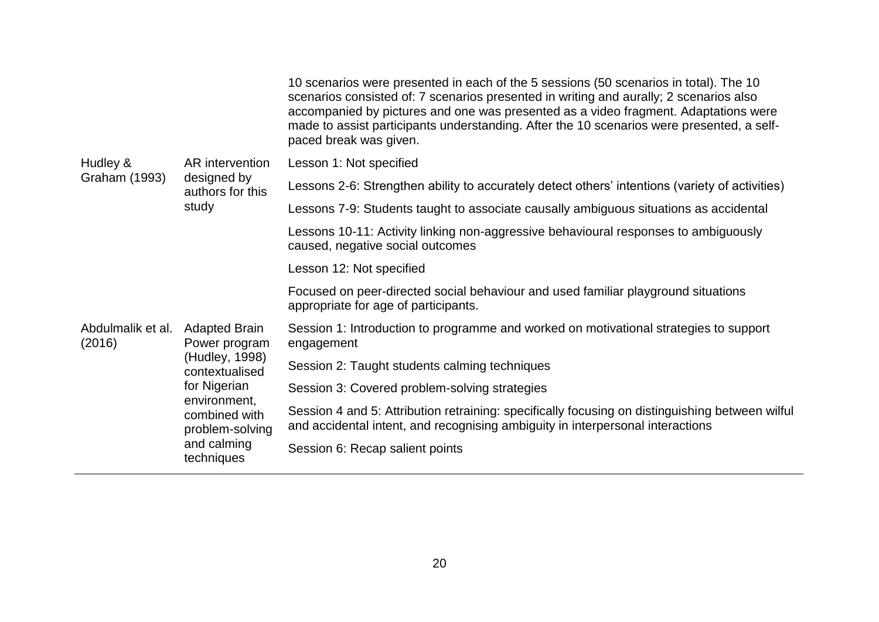|                             |                                                                                                                                                                            | 10 scenarios were presented in each of the 5 sessions (50 scenarios in total). The 10<br>scenarios consisted of: 7 scenarios presented in writing and aurally; 2 scenarios also<br>accompanied by pictures and one was presented as a video fragment. Adaptations were<br>made to assist participants understanding. After the 10 scenarios were presented, a self-<br>paced break was given. |
|-----------------------------|----------------------------------------------------------------------------------------------------------------------------------------------------------------------------|-----------------------------------------------------------------------------------------------------------------------------------------------------------------------------------------------------------------------------------------------------------------------------------------------------------------------------------------------------------------------------------------------|
| Hudley &                    | AR intervention                                                                                                                                                            | Lesson 1: Not specified                                                                                                                                                                                                                                                                                                                                                                       |
| Graham (1993)               | designed by<br>authors for this                                                                                                                                            | Lessons 2-6: Strengthen ability to accurately detect others' intentions (variety of activities)                                                                                                                                                                                                                                                                                               |
|                             | study                                                                                                                                                                      | Lessons 7-9: Students taught to associate causally ambiguous situations as accidental                                                                                                                                                                                                                                                                                                         |
|                             |                                                                                                                                                                            | Lessons 10-11: Activity linking non-aggressive behavioural responses to ambiguously<br>caused, negative social outcomes                                                                                                                                                                                                                                                                       |
|                             |                                                                                                                                                                            | Lesson 12: Not specified                                                                                                                                                                                                                                                                                                                                                                      |
|                             |                                                                                                                                                                            | Focused on peer-directed social behaviour and used familiar playground situations<br>appropriate for age of participants.                                                                                                                                                                                                                                                                     |
| Abdulmalik et al.<br>(2016) | <b>Adapted Brain</b><br>Power program<br>(Hudley, 1998)<br>contextualised<br>for Nigerian<br>environment,<br>combined with<br>problem-solving<br>and calming<br>techniques | Session 1: Introduction to programme and worked on motivational strategies to support<br>engagement                                                                                                                                                                                                                                                                                           |
|                             |                                                                                                                                                                            | Session 2: Taught students calming techniques                                                                                                                                                                                                                                                                                                                                                 |
|                             |                                                                                                                                                                            | Session 3: Covered problem-solving strategies                                                                                                                                                                                                                                                                                                                                                 |
|                             |                                                                                                                                                                            | Session 4 and 5: Attribution retraining: specifically focusing on distinguishing between wilful<br>and accidental intent, and recognising ambiguity in interpersonal interactions                                                                                                                                                                                                             |
|                             |                                                                                                                                                                            | Session 6: Recap salient points                                                                                                                                                                                                                                                                                                                                                               |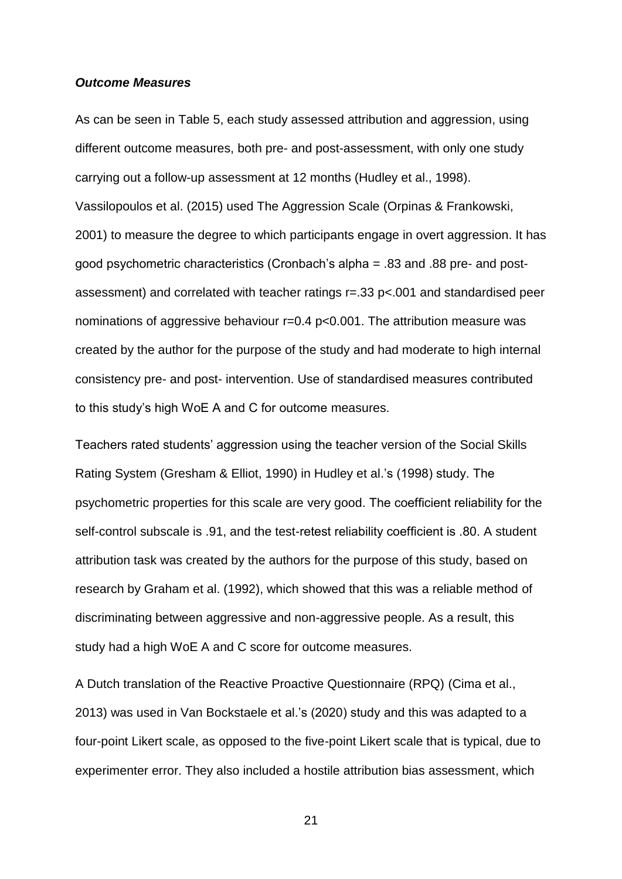#### *Outcome Measures*

As can be seen in Table 5, each study assessed attribution and aggression, using different outcome measures, both pre- and post-assessment, with only one study carrying out a follow-up assessment at 12 months (Hudley et al., 1998). Vassilopoulos et al. (2015) used The Aggression Scale (Orpinas & Frankowski, 2001) to measure the degree to which participants engage in overt aggression. It has good psychometric characteristics (Cronbach's alpha = .83 and .88 pre- and postassessment) and correlated with teacher ratings r=.33 p<.001 and standardised peer nominations of aggressive behaviour r=0.4 p<0.001. The attribution measure was created by the author for the purpose of the study and had moderate to high internal consistency pre- and post- intervention. Use of standardised measures contributed to this study's high WoE A and C for outcome measures.

Teachers rated students' aggression using the teacher version of the Social Skills Rating System (Gresham & Elliot, 1990) in Hudley et al.'s (1998) study. The psychometric properties for this scale are very good. The coefficient reliability for the self-control subscale is .91, and the test-retest reliability coefficient is .80. A student attribution task was created by the authors for the purpose of this study, based on research by Graham et al. (1992), which showed that this was a reliable method of discriminating between aggressive and non-aggressive people. As a result, this study had a high WoE A and C score for outcome measures.

A Dutch translation of the Reactive Proactive Questionnaire (RPQ) (Cima et al., 2013) was used in Van Bockstaele et al.'s (2020) study and this was adapted to a four-point Likert scale, as opposed to the five-point Likert scale that is typical, due to experimenter error. They also included a hostile attribution bias assessment, which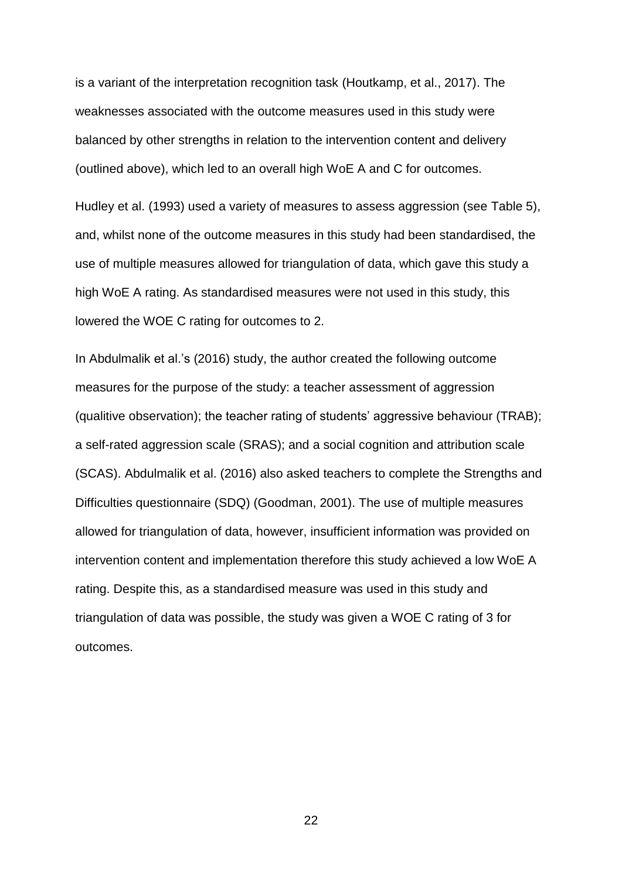is a variant of the interpretation recognition task (Houtkamp, et al., 2017). The weaknesses associated with the outcome measures used in this study were balanced by other strengths in relation to the intervention content and delivery (outlined above), which led to an overall high WoE A and C for outcomes.

Hudley et al. (1993) used a variety of measures to assess aggression (see Table 5), and, whilst none of the outcome measures in this study had been standardised, the use of multiple measures allowed for triangulation of data, which gave this study a high WoE A rating. As standardised measures were not used in this study, this lowered the WOE C rating for outcomes to 2.

In Abdulmalik et al.'s (2016) study, the author created the following outcome measures for the purpose of the study: a teacher assessment of aggression (qualitive observation); the teacher rating of students' aggressive behaviour (TRAB); a self-rated aggression scale (SRAS); and a social cognition and attribution scale (SCAS). Abdulmalik et al. (2016) also asked teachers to complete the Strengths and Difficulties questionnaire (SDQ) (Goodman, 2001). The use of multiple measures allowed for triangulation of data, however, insufficient information was provided on intervention content and implementation therefore this study achieved a low WoE A rating. Despite this, as a standardised measure was used in this study and triangulation of data was possible, the study was given a WOE C rating of 3 for outcomes.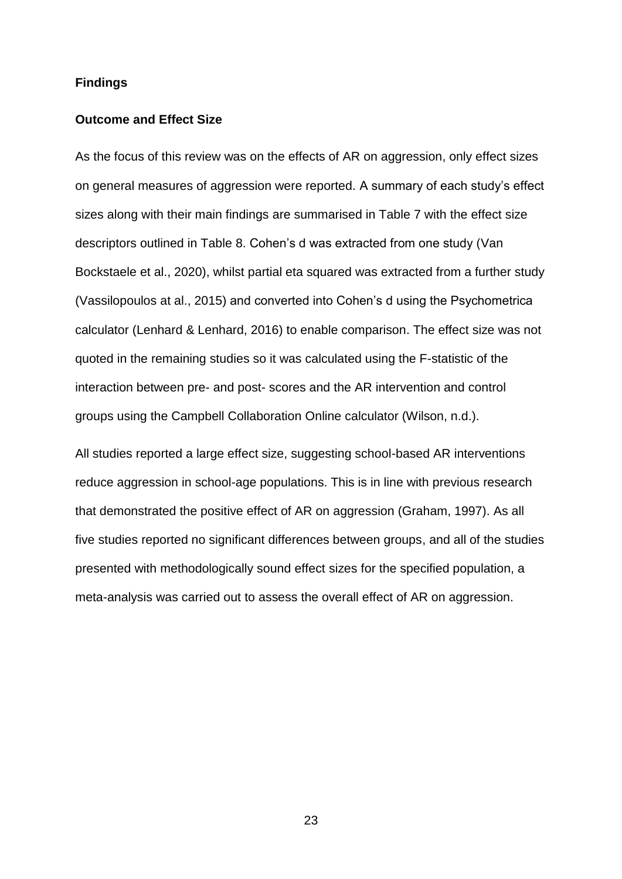### **Findings**

### **Outcome and Effect Size**

As the focus of this review was on the effects of AR on aggression, only effect sizes on general measures of aggression were reported. A summary of each study's effect sizes along with their main findings are summarised in Table 7 with the effect size descriptors outlined in Table 8. Cohen's d was extracted from one study (Van Bockstaele et al., 2020), whilst partial eta squared was extracted from a further study (Vassilopoulos at al., 2015) and converted into Cohen's d using the Psychometrica calculator (Lenhard & Lenhard, 2016) to enable comparison. The effect size was not quoted in the remaining studies so it was calculated using the F-statistic of the interaction between pre- and post- scores and the AR intervention and control groups using the Campbell Collaboration Online calculator (Wilson, n.d.).

All studies reported a large effect size, suggesting school-based AR interventions reduce aggression in school-age populations. This is in line with previous research that demonstrated the positive effect of AR on aggression (Graham, 1997). As all five studies reported no significant differences between groups, and all of the studies presented with methodologically sound effect sizes for the specified population, a meta-analysis was carried out to assess the overall effect of AR on aggression.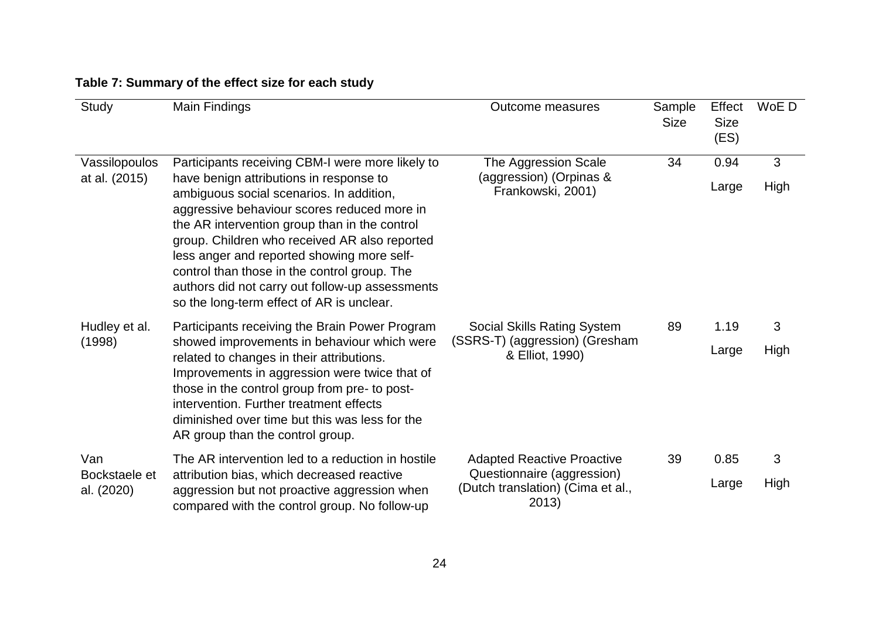| Study                              | Main Findings                                                                                                                                                                                                                                                                                                                                                                                                                                                                          | Outcome measures                                                                                              | Sample<br><b>Size</b> | Effect<br><b>Size</b><br>(ES) | WoE D     |
|------------------------------------|----------------------------------------------------------------------------------------------------------------------------------------------------------------------------------------------------------------------------------------------------------------------------------------------------------------------------------------------------------------------------------------------------------------------------------------------------------------------------------------|---------------------------------------------------------------------------------------------------------------|-----------------------|-------------------------------|-----------|
| Vassilopoulos<br>at al. (2015)     | Participants receiving CBM-I were more likely to<br>have benign attributions in response to<br>ambiguous social scenarios. In addition,<br>aggressive behaviour scores reduced more in<br>the AR intervention group than in the control<br>group. Children who received AR also reported<br>less anger and reported showing more self-<br>control than those in the control group. The<br>authors did not carry out follow-up assessments<br>so the long-term effect of AR is unclear. | The Aggression Scale<br>(aggression) (Orpinas &<br>Frankowski, 2001)                                          | 34                    | 0.94<br>Large                 | 3<br>High |
| Hudley et al.<br>(1998)            | Participants receiving the Brain Power Program<br>showed improvements in behaviour which were<br>related to changes in their attributions.<br>Improvements in aggression were twice that of<br>those in the control group from pre- to post-<br>intervention. Further treatment effects<br>diminished over time but this was less for the<br>AR group than the control group.                                                                                                          | Social Skills Rating System<br>(SSRS-T) (aggression) (Gresham<br>& Elliot, 1990)                              | 89                    | 1.19<br>Large                 | 3<br>High |
| Van<br>Bockstaele et<br>al. (2020) | The AR intervention led to a reduction in hostile<br>attribution bias, which decreased reactive<br>aggression but not proactive aggression when<br>compared with the control group. No follow-up                                                                                                                                                                                                                                                                                       | <b>Adapted Reactive Proactive</b><br>Questionnaire (aggression)<br>(Dutch translation) (Cima et al.,<br>2013) | 39                    | 0.85<br>Large                 | 3<br>High |

# **Table 7: Summary of the effect size for each study**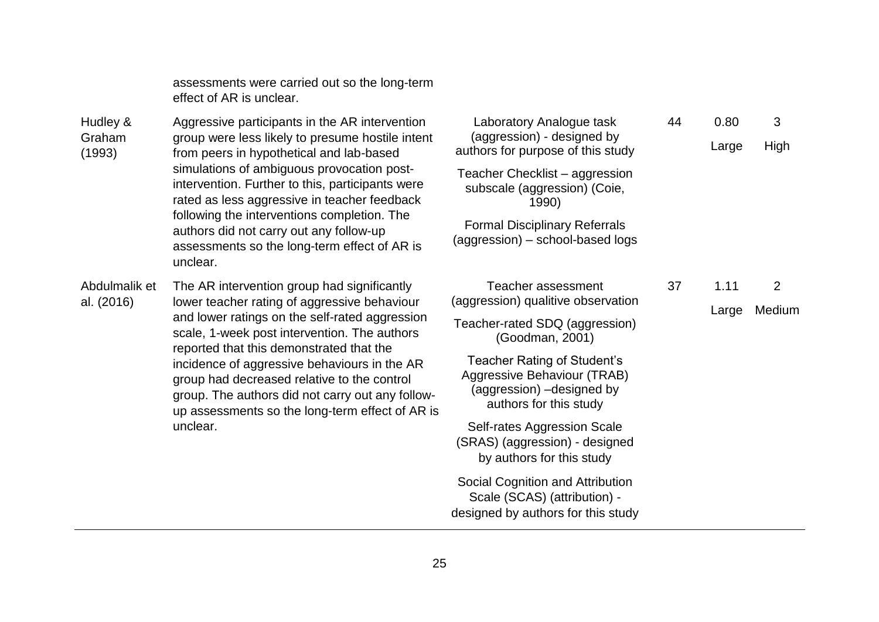assessments were carried out so the long-term effect of AR is unclear.

Hudley & Graham (1993) Aggressive participants in the AR intervention group were less likely to presume hostile intent from peers in hypothetical and lab-based simulations of ambiguous provocation postintervention. Further to this, participants were rated as less aggressive in teacher feedback following the interventions completion. The authors did not carry out any follow-up assessments so the long-term effect of AR is unclear.

Abdulmalik et al. (2016)

The AR intervention group had significantly lower teacher rating of aggressive behaviour and lower ratings on the self-rated aggression scale, 1-week post intervention. The authors reported that this demonstrated that the incidence of aggressive behaviours in the AR group had decreased relative to the control group. The authors did not carry out any followup assessments so the long-term effect of AR is unclear.

Laboratory Analogue task (aggression) - designed by authors for purpose of this study Teacher Checklist – aggression subscale (aggression) (Coie, 1990) Formal Disciplinary Referrals (aggression) – school-based logs 44 0.80 Large 3 High Teacher assessment (aggression) qualitive observation Teacher-rated SDQ (aggression) (Goodman, 2001) Teacher Rating of Student's Aggressive Behaviour (TRAB) (aggression) –designed by authors for this study Self-rates Aggression Scale (SRAS) (aggression) - designed by authors for this study Social Cognition and Attribution 37 1.11 Large 2 Medium

Scale (SCAS) (attribution) designed by authors for this study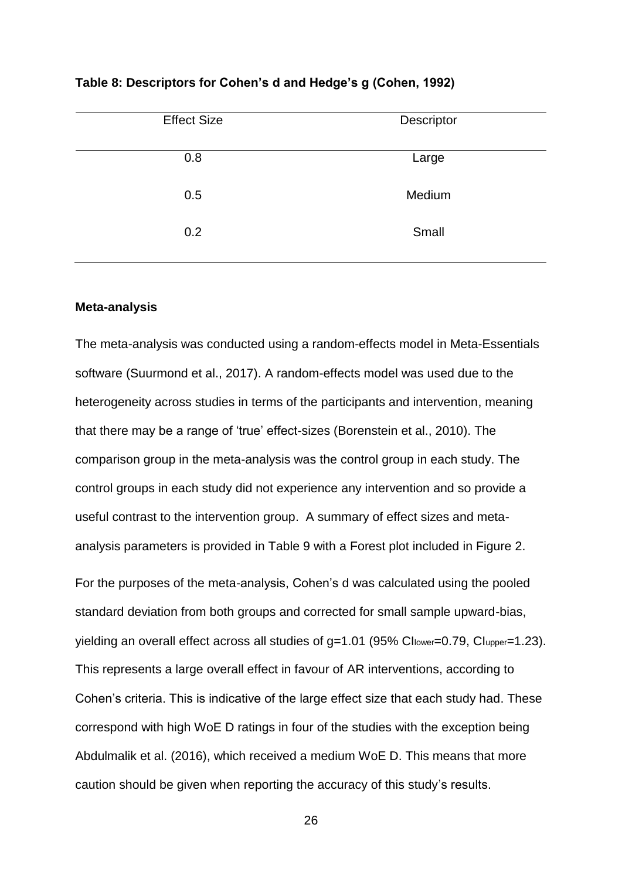| <b>Effect Size</b> | Descriptor |
|--------------------|------------|
| 0.8                | Large      |
| 0.5                | Medium     |
| 0.2                | Small      |

**Table 8: Descriptors for Cohen's d and Hedge's g (Cohen, 1992)**

### **Meta-analysis**

The meta-analysis was conducted using a random-effects model in Meta-Essentials software (Suurmond et al., 2017). A random-effects model was used due to the heterogeneity across studies in terms of the participants and intervention, meaning that there may be a range of 'true' effect-sizes (Borenstein et al., 2010). The comparison group in the meta-analysis was the control group in each study. The control groups in each study did not experience any intervention and so provide a useful contrast to the intervention group. A summary of effect sizes and metaanalysis parameters is provided in Table 9 with a Forest plot included in Figure 2.

For the purposes of the meta-analysis, Cohen's d was calculated using the pooled standard deviation from both groups and corrected for small sample upward-bias, yielding an overall effect across all studies of g=1.01 (95% Cl<sub>lower</sub>=0.79, Cl<sub>upper</sub>=1.23). This represents a large overall effect in favour of AR interventions, according to Cohen's criteria. This is indicative of the large effect size that each study had. These correspond with high WoE D ratings in four of the studies with the exception being Abdulmalik et al. (2016), which received a medium WoE D. This means that more caution should be given when reporting the accuracy of this study's results.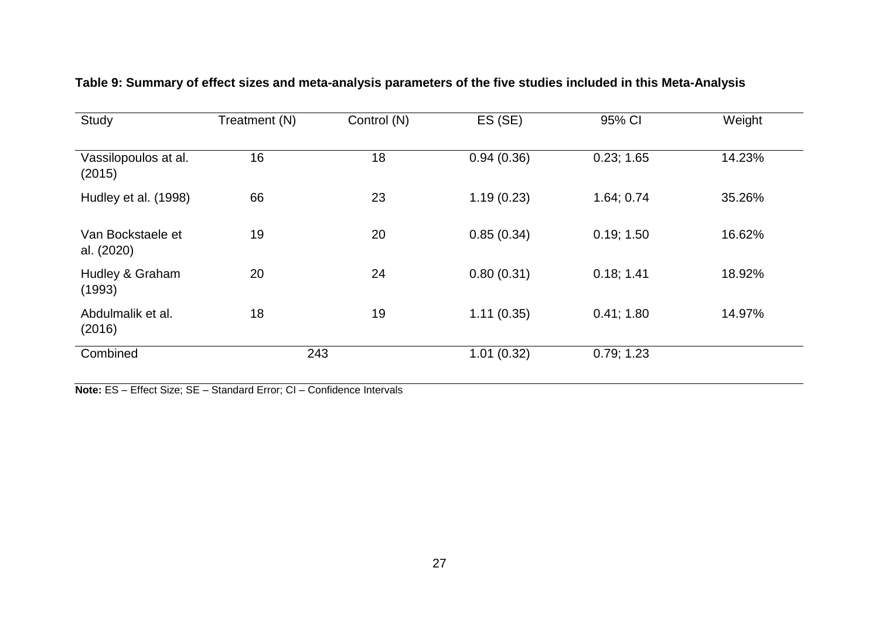| Study                           | Treatment (N) | Control (N) | ES (SE)    | 95% CI     | Weight |
|---------------------------------|---------------|-------------|------------|------------|--------|
| Vassilopoulos at al.<br>(2015)  | 16            | 18          | 0.94(0.36) | 0.23; 1.65 | 14.23% |
| Hudley et al. (1998)            | 66            | 23          | 1.19(0.23) | 1.64; 0.74 | 35.26% |
| Van Bockstaele et<br>al. (2020) | 19            | 20          | 0.85(0.34) | 0.19; 1.50 | 16.62% |
| Hudley & Graham<br>(1993)       | 20            | 24          | 0.80(0.31) | 0.18; 1.41 | 18.92% |
| Abdulmalik et al.<br>(2016)     | 18            | 19          | 1.11(0.35) | 0.41; 1.80 | 14.97% |
| Combined                        | 243           |             | 1.01(0.32) | 0.79; 1.23 |        |

# **Table 9: Summary of effect sizes and meta-analysis parameters of the five studies included in this Meta-Analysis**

**Note:** ES – Effect Size; SE – Standard Error; CI – Confidence Intervals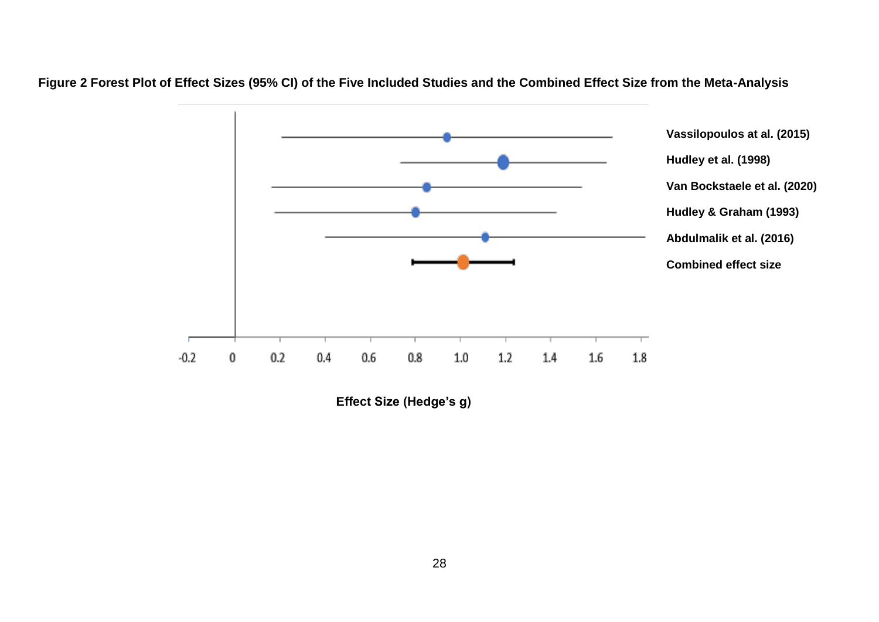

**Figure 2 Forest Plot of Effect Sizes (95% CI) of the Five Included Studies and the Combined Effect Size from the Meta-Analysis**

**Effect Size (Hedge's g)**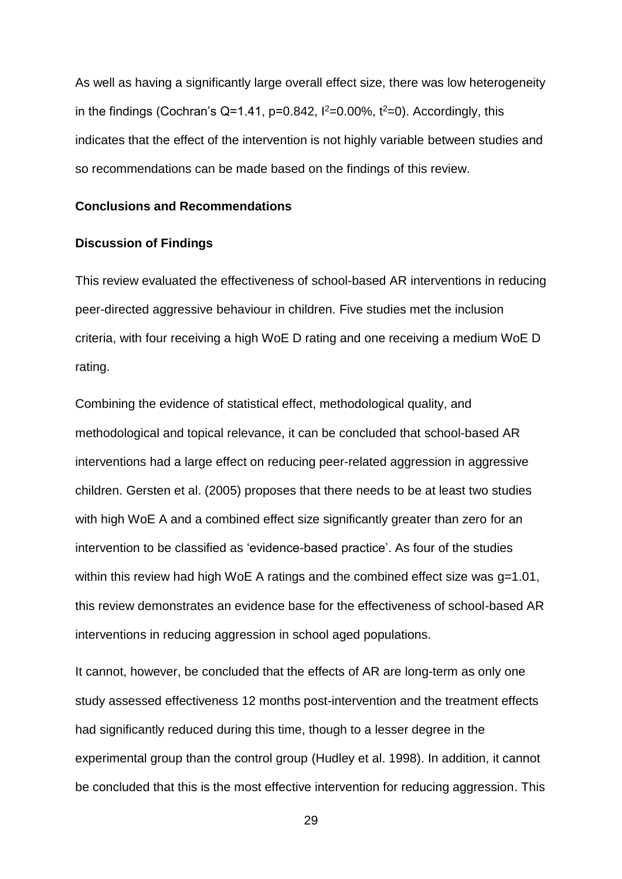As well as having a significantly large overall effect size, there was low heterogeneity in the findings (Cochran's Q=1.41, p=0.842,  $l^2=0.00\%$ ,  $t^2=0$ ). Accordingly, this indicates that the effect of the intervention is not highly variable between studies and so recommendations can be made based on the findings of this review.

### **Conclusions and Recommendations**

### **Discussion of Findings**

This review evaluated the effectiveness of school-based AR interventions in reducing peer-directed aggressive behaviour in children. Five studies met the inclusion criteria, with four receiving a high WoE D rating and one receiving a medium WoE D rating.

Combining the evidence of statistical effect, methodological quality, and methodological and topical relevance, it can be concluded that school-based AR interventions had a large effect on reducing peer-related aggression in aggressive children. Gersten et al. (2005) proposes that there needs to be at least two studies with high WoE A and a combined effect size significantly greater than zero for an intervention to be classified as 'evidence-based practice'. As four of the studies within this review had high WoE A ratings and the combined effect size was q=1.01, this review demonstrates an evidence base for the effectiveness of school-based AR interventions in reducing aggression in school aged populations.

It cannot, however, be concluded that the effects of AR are long-term as only one study assessed effectiveness 12 months post-intervention and the treatment effects had significantly reduced during this time, though to a lesser degree in the experimental group than the control group (Hudley et al. 1998). In addition, it cannot be concluded that this is the most effective intervention for reducing aggression. This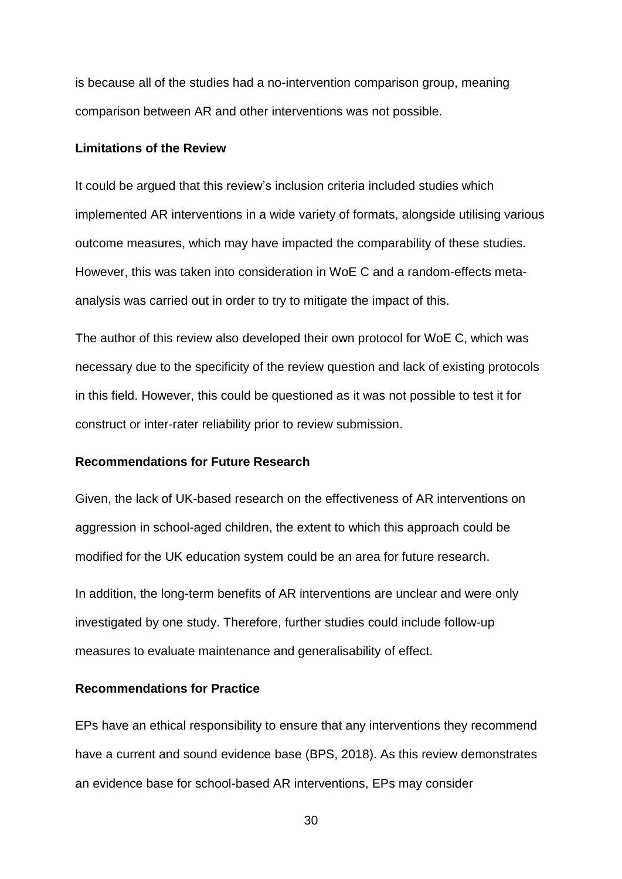is because all of the studies had a no-intervention comparison group, meaning comparison between AR and other interventions was not possible.

### **Limitations of the Review**

It could be argued that this review's inclusion criteria included studies which implemented AR interventions in a wide variety of formats, alongside utilising various outcome measures, which may have impacted the comparability of these studies. However, this was taken into consideration in WoE C and a random-effects metaanalysis was carried out in order to try to mitigate the impact of this.

The author of this review also developed their own protocol for WoE C, which was necessary due to the specificity of the review question and lack of existing protocols in this field. However, this could be questioned as it was not possible to test it for construct or inter-rater reliability prior to review submission.

### **Recommendations for Future Research**

Given, the lack of UK-based research on the effectiveness of AR interventions on aggression in school-aged children, the extent to which this approach could be modified for the UK education system could be an area for future research.

In addition, the long-term benefits of AR interventions are unclear and were only investigated by one study. Therefore, further studies could include follow-up measures to evaluate maintenance and generalisability of effect.

### **Recommendations for Practice**

EPs have an ethical responsibility to ensure that any interventions they recommend have a current and sound evidence base (BPS, 2018). As this review demonstrates an evidence base for school-based AR interventions, EPs may consider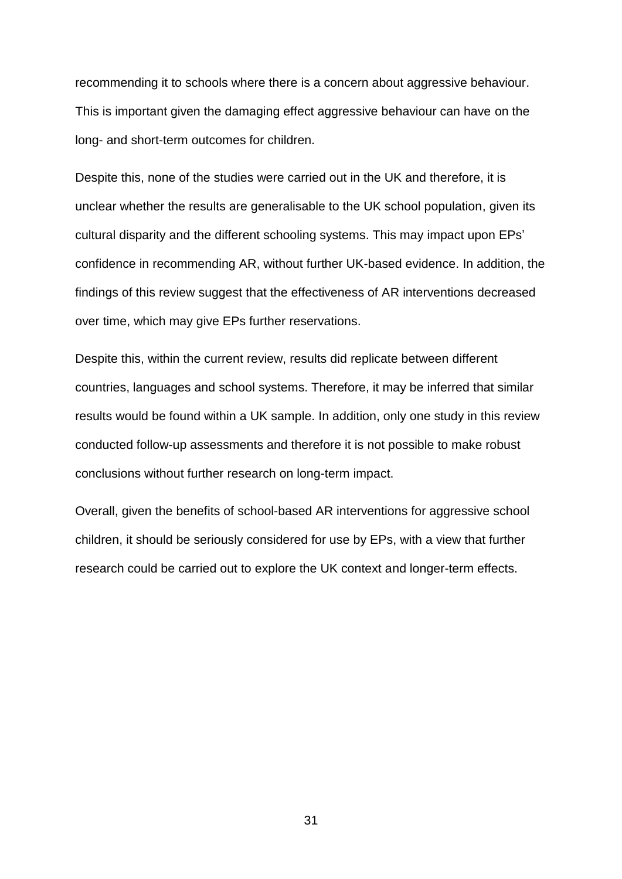recommending it to schools where there is a concern about aggressive behaviour. This is important given the damaging effect aggressive behaviour can have on the long- and short-term outcomes for children.

Despite this, none of the studies were carried out in the UK and therefore, it is unclear whether the results are generalisable to the UK school population, given its cultural disparity and the different schooling systems. This may impact upon EPs' confidence in recommending AR, without further UK-based evidence. In addition, the findings of this review suggest that the effectiveness of AR interventions decreased over time, which may give EPs further reservations.

Despite this, within the current review, results did replicate between different countries, languages and school systems. Therefore, it may be inferred that similar results would be found within a UK sample. In addition, only one study in this review conducted follow-up assessments and therefore it is not possible to make robust conclusions without further research on long-term impact.

Overall, given the benefits of school-based AR interventions for aggressive school children, it should be seriously considered for use by EPs, with a view that further research could be carried out to explore the UK context and longer-term effects.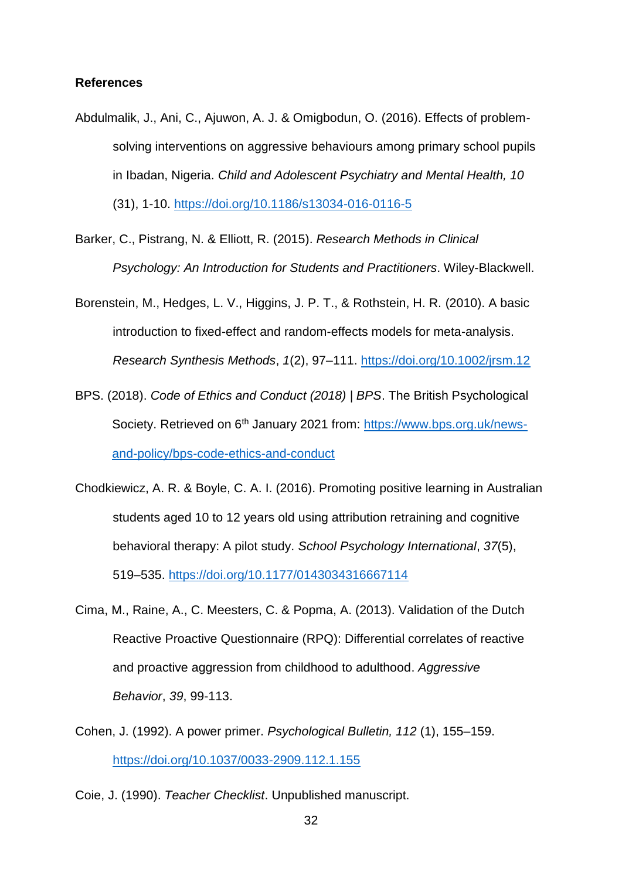### **References**

- Abdulmalik, J., Ani, C., Ajuwon, A. J. & Omigbodun, O. (2016). Effects of problemsolving interventions on aggressive behaviours among primary school pupils in Ibadan, Nigeria. *Child and Adolescent Psychiatry and Mental Health, 10* (31), 1-10. <https://doi.org/10.1186/s13034-016-0116-5>
- Barker, C., Pistrang, N. & Elliott, R. (2015). *Research Methods in Clinical Psychology: An Introduction for Students and Practitioners*. Wiley-Blackwell.
- Borenstein, M., Hedges, L. V., Higgins, J. P. T., & Rothstein, H. R. (2010). A basic introduction to fixed-effect and random-effects models for meta-analysis. *Research Synthesis Methods*, *1*(2), 97–111.<https://doi.org/10.1002/jrsm.12>
- BPS. (2018). *Code of Ethics and Conduct (2018) | BPS*. The British Psychological Society. Retrieved on 6<sup>th</sup> January 2021 from: [https://www.bps.org.uk/news](https://www.bps.org.uk/news-and-policy/bps-code-ethics-and-conduct)[and-policy/bps-code-ethics-and-conduct](https://www.bps.org.uk/news-and-policy/bps-code-ethics-and-conduct)
- Chodkiewicz, A. R. & Boyle, C. A. I. (2016). Promoting positive learning in Australian students aged 10 to 12 years old using attribution retraining and cognitive behavioral therapy: A pilot study. *School Psychology International*, *37*(5), 519–535.<https://doi.org/10.1177/0143034316667114>
- Cima, M., Raine, A., C. Meesters, C. & Popma, A. (2013). Validation of the Dutch Reactive Proactive Questionnaire (RPQ): Differential correlates of reactive and proactive aggression from childhood to adulthood. *Aggressive Behavior*, *39*, 99-113.
- Cohen, J. (1992). A power primer. *Psychological Bulletin, 112* (1), 155–159. <https://doi.org/10.1037/0033-2909.112.1.155>
- Coie, J. (1990). *Teacher Checklist*. Unpublished manuscript.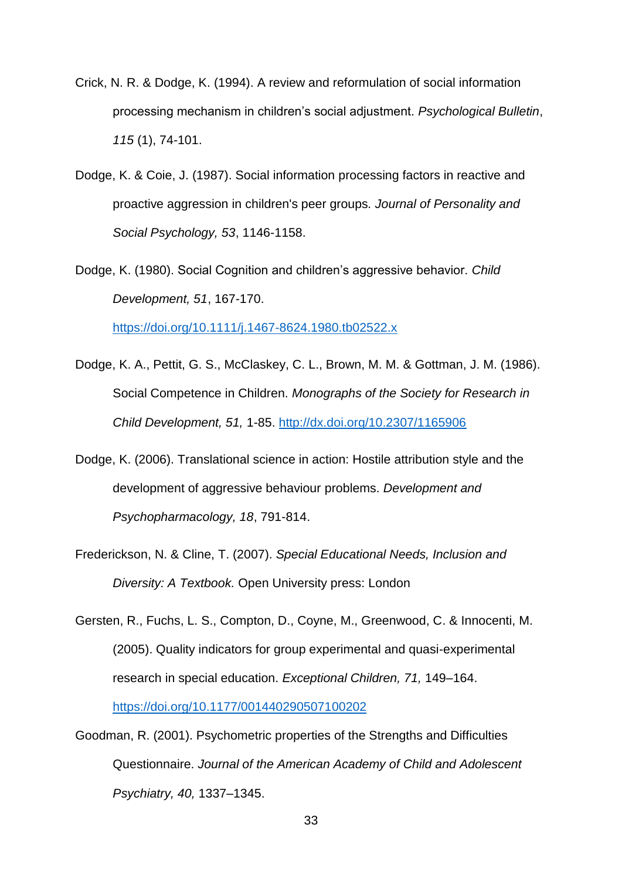- Crick, N. R. & Dodge, K. (1994). A review and reformulation of social information processing mechanism in children's social adjustment. *Psychological Bulletin*, *115* (1), 74-101.
- Dodge, K. & Coie, J. (1987). Social information processing factors in reactive and proactive aggression in children's peer groups*. Journal of Personality and Social Psychology, 53*, 1146-1158.
- Dodge, K. (1980). Social Cognition and children's aggressive behavior. *Child Development, 51*, 167-170.

<https://doi.org/10.1111/j.1467-8624.1980.tb02522.x>

- Dodge, K. A., Pettit, G. S., McClaskey, C. L., Brown, M. M. & Gottman, J. M. (1986). Social Competence in Children. *Monographs of the Society for Research in Child Development, 51,* 1-85. <http://dx.doi.org/10.2307/1165906>
- Dodge, K. (2006). Translational science in action: Hostile attribution style and the development of aggressive behaviour problems. *Development and Psychopharmacology, 18*, 791-814.
- Frederickson, N. & Cline, T. (2007). *Special Educational Needs, Inclusion and Diversity: A Textbook.* Open University press: London

Gersten, R., Fuchs, L. S., Compton, D., Coyne, M., Greenwood, C. & Innocenti, M. (2005). Quality indicators for group experimental and quasi-experimental research in special education. *Exceptional Children, 71,* 149–164. <https://doi.org/10.1177/001440290507100202>

Goodman, R. (2001). Psychometric properties of the Strengths and Difficulties Questionnaire. *Journal of the American Academy of Child and Adolescent Psychiatry, 40,* 1337–1345.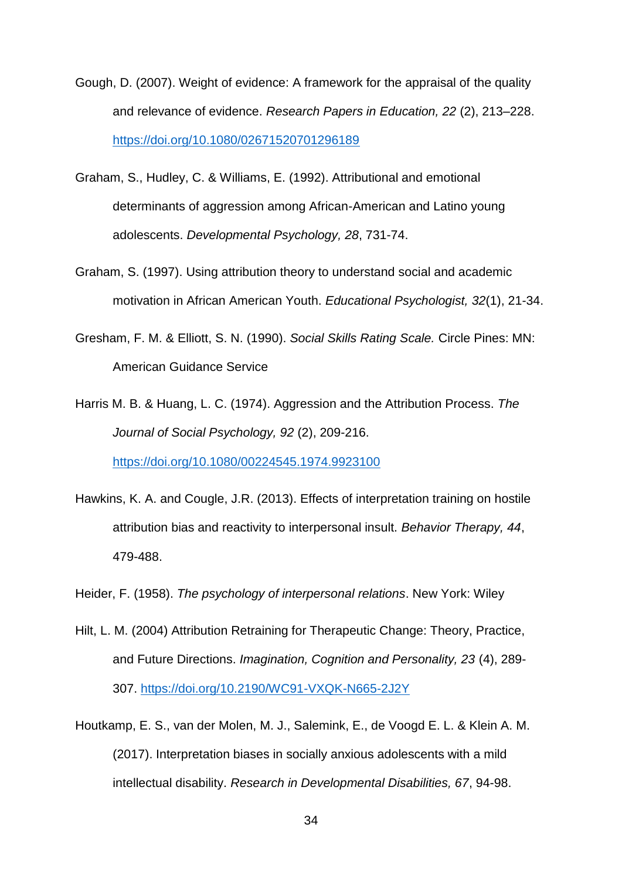- Gough, D. (2007). Weight of evidence: A framework for the appraisal of the quality and relevance of evidence. *Research Papers in Education, 22* (2), 213–228. <https://doi.org/10.1080/02671520701296189>
- Graham, S., Hudley, C. & Williams, E. (1992). Attributional and emotional determinants of aggression among African-American and Latino young adolescents. *Developmental Psychology, 28*, 731-74.
- Graham, S. (1997). Using attribution theory to understand social and academic motivation in African American Youth. *Educational Psychologist, 32*(1), 21-34.
- Gresham, F. M. & Elliott, S. N. (1990). *Social Skills Rating Scale.* Circle Pines: MN: American Guidance Service
- Harris M. B. & Huang, L. C. (1974). Aggression and the Attribution Process. *The Journal of Social Psychology, 92* (2), 209-216. <https://doi.org/10.1080/00224545.1974.9923100>
- Hawkins, K. A. and Cougle, J.R. (2013). Effects of interpretation training on hostile attribution bias and reactivity to interpersonal insult. *Behavior Therapy, 44*, 479-488.
- Heider, F. (1958). *The psychology of interpersonal relations*. New York: Wiley
- Hilt, L. M. (2004) Attribution Retraining for Therapeutic Change: Theory, Practice, and Future Directions. *Imagination, Cognition and Personality, 23* (4), 289- 307. <https://doi.org/10.2190/WC91-VXQK-N665-2J2Y>
- Houtkamp, E. S., van der Molen, M. J., Salemink, E., de Voogd E. L. & Klein A. M. (2017). Interpretation biases in socially anxious adolescents with a mild intellectual disability. *Research in Developmental Disabilities, 67*, 94-98.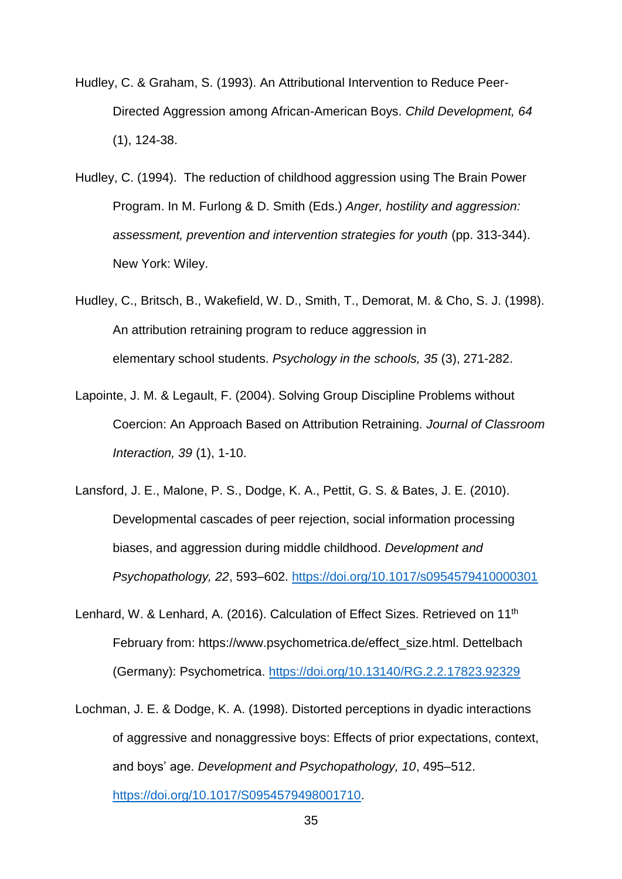- Hudley, C. & Graham, S. (1993). An Attributional Intervention to Reduce Peer-Directed Aggression among African-American Boys. *Child Development, 64* (1), 124-38.
- Hudley, C. (1994). The reduction of childhood aggression using The Brain Power Program. In M. Furlong & D. Smith (Eds.) *Anger, hostility and aggression: assessment, prevention and intervention strategies for youth* (pp. 313-344). New York: Wiley.
- Hudley, C., Britsch, B., Wakefield, W. D., Smith, T., Demorat, M. & Cho, S. J. (1998). An attribution retraining program to reduce aggression in elementary school students. *Psychology in the schools, 35* (3), 271-282.
- Lapointe, J. M. & Legault, F. (2004). Solving Group Discipline Problems without Coercion: An Approach Based on Attribution Retraining. *Journal of Classroom Interaction, 39* (1), 1-10.
- Lansford, J. E., Malone, P. S., Dodge, K. A., Pettit, G. S. & Bates, J. E. (2010). Developmental cascades of peer rejection, social information processing biases, and aggression during middle childhood. *Development and Psychopathology, 22*, 593–602.<https://doi.org/10.1017/s0954579410000301>
- Lenhard, W. & Lenhard, A. (2016). Calculation of Effect Sizes. Retrieved on 11th February from: https://www.psychometrica.de/effect\_size.html. Dettelbach (Germany): Psychometrica.<https://doi.org/10.13140/RG.2.2.17823.92329>
- Lochman, J. E. & Dodge, K. A. (1998). Distorted perceptions in dyadic interactions of aggressive and nonaggressive boys: Effects of prior expectations, context, and boys' age. *Development and Psychopathology, 10*, 495–512. [https://doi.org/10.1017/S0954579498001710.](https://doi.org/10.1017/S0954579498001710)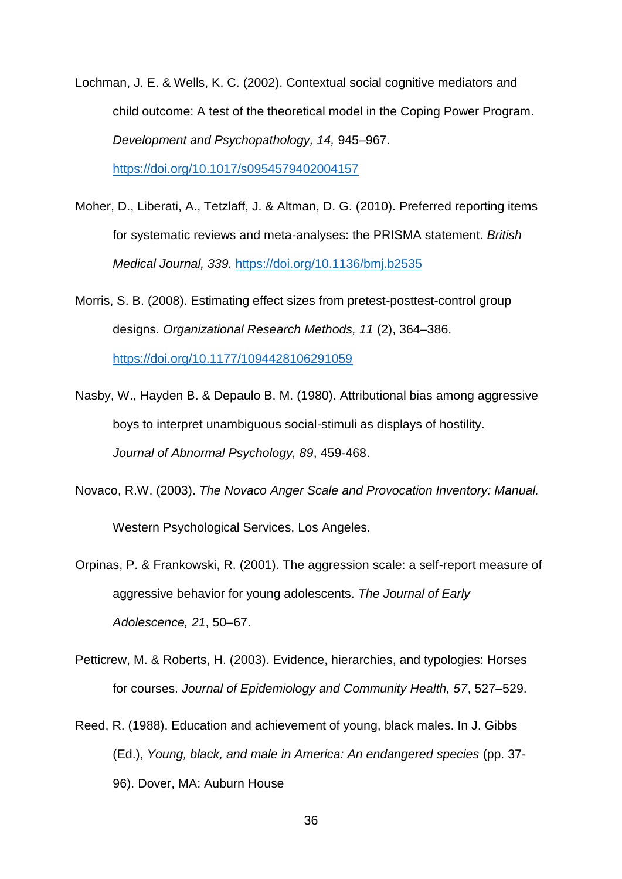- Lochman, J. E. & Wells, K. C. (2002). Contextual social cognitive mediators and child outcome: A test of the theoretical model in the Coping Power Program. *Development and Psychopathology, 14,* 945–967. <https://doi.org/10.1017/s0954579402004157>
- Moher, D., Liberati, A., Tetzlaff, J. & Altman, D. G. (2010). Preferred reporting items for systematic reviews and meta-analyses: the PRISMA statement. *British Medical Journal, 339.* <https://doi.org/10.1136/bmj.b2535>
- Morris, S. B. (2008). Estimating effect sizes from pretest-posttest-control group designs. *Organizational Research Methods, 11* (2), 364–386. <https://doi.org/10.1177/1094428106291059>
- Nasby, W., Hayden B. & Depaulo B. M. (1980). Attributional bias among aggressive boys to interpret unambiguous social-stimuli as displays of hostility. *Journal of Abnormal Psychology, 89*, 459-468.
- Novaco, R.W. (2003). *The Novaco Anger Scale and Provocation Inventory: Manual.* Western Psychological Services, Los Angeles.
- Orpinas, P. & Frankowski, R. (2001). The aggression scale: a self-report measure of aggressive behavior for young adolescents. *The Journal of Early Adolescence, 21*, 50–67.
- Petticrew, M. & Roberts, H. (2003). Evidence, hierarchies, and typologies: Horses for courses. *Journal of Epidemiology and Community Health, 57*, 527–529.
- Reed, R. (1988). Education and achievement of young, black males. In J. Gibbs (Ed.), *Young, black, and male in America: An endangered species* (pp. 37- 96). Dover, MA: Auburn House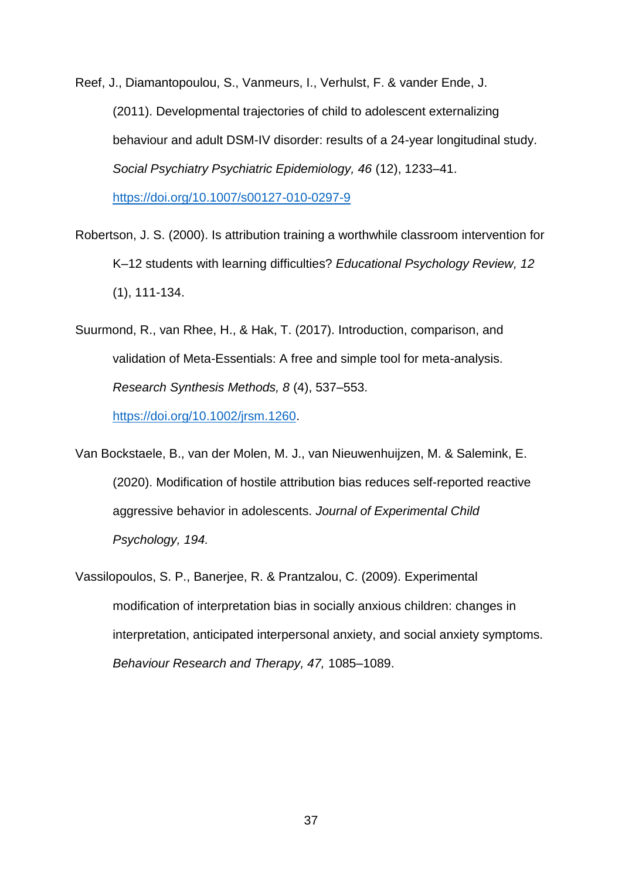Reef, J., Diamantopoulou, S., Vanmeurs, I., Verhulst, F. & vander Ende, J. (2011). Developmental trajectories of child to adolescent externalizing behaviour and adult DSM-IV disorder: results of a 24-year longitudinal study. *Social Psychiatry Psychiatric Epidemiology, 46* (12), 1233–41. <https://doi.org/10.1007/s00127-010-0297-9>

Robertson, J. S. (2000). Is attribution training a worthwhile classroom intervention for K–12 students with learning difficulties? *Educational Psychology Review, 12* (1), 111-134.

Suurmond, R., van Rhee, H., & Hak, T. (2017). Introduction, comparison, and validation of Meta-Essentials: A free and simple tool for meta-analysis. *Research Synthesis Methods, 8* (4), 537–553. [https://doi.org/10.1002/jrsm.1260.](https://doi.org/10.1002/jrsm.1260)

Van Bockstaele, B., van der Molen, M. J., van Nieuwenhuijzen, M. & Salemink, E. (2020). Modification of hostile attribution bias reduces self-reported reactive aggressive behavior in adolescents. *Journal of Experimental Child Psychology, 194.*

Vassilopoulos, S. P., Banerjee, R. & Prantzalou, C. (2009). Experimental modification of interpretation bias in socially anxious children: changes in interpretation, anticipated interpersonal anxiety, and social anxiety symptoms. *Behaviour Research and Therapy, 47,* 1085–1089.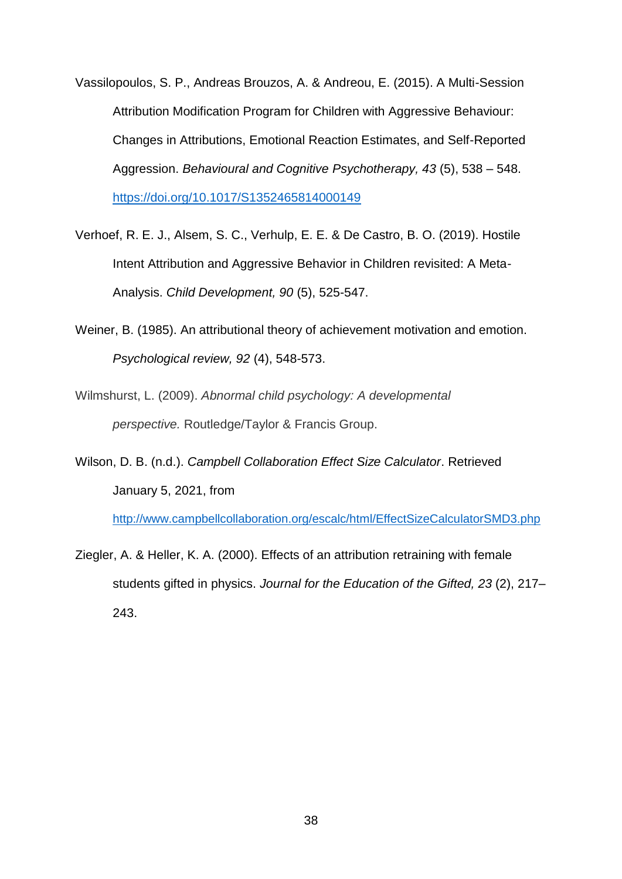- Vassilopoulos, S. P., Andreas Brouzos, A. & Andreou, E. (2015). A Multi-Session Attribution Modification Program for Children with Aggressive Behaviour: Changes in Attributions, Emotional Reaction Estimates, and Self-Reported Aggression. *Behavioural and Cognitive Psychotherapy, 43* (5), 538 – 548. <https://doi.org/10.1017/S1352465814000149>
- Verhoef, R. E. J., Alsem, S. C., Verhulp, E. E. & De Castro, B. O. (2019). Hostile Intent Attribution and Aggressive Behavior in Children revisited: A Meta-Analysis. *Child Development, 90* (5), 525-547.
- Weiner, B. (1985). An attributional theory of achievement motivation and emotion. *Psychological review, 92* (4), 548-573.
- Wilmshurst, L. (2009). *Abnormal child psychology: A developmental perspective.* Routledge/Taylor & Francis Group.
- Wilson, D. B. (n.d.). *Campbell Collaboration Effect Size Calculator*. Retrieved January 5, 2021, from

<http://www.campbellcollaboration.org/escalc/html/EffectSizeCalculatorSMD3.php>

Ziegler, A. & Heller, K. A. (2000). Effects of an attribution retraining with female students gifted in physics. *Journal for the Education of the Gifted, 23* (2), 217– 243.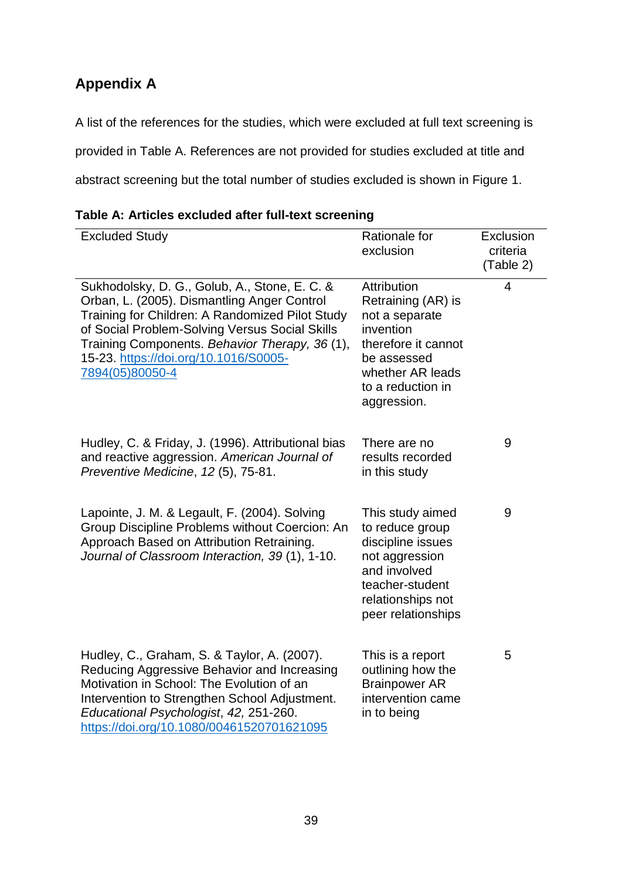# **Appendix A**

A list of the references for the studies, which were excluded at full text screening is provided in Table A. References are not provided for studies excluded at title and abstract screening but the total number of studies excluded is shown in Figure 1.

| <b>Excluded Study</b>                                                                                                                                                                                                                                                                                           | Rationale for<br>exclusion                                                                                                                                     | Exclusion<br>criteria<br>(Table 2) |
|-----------------------------------------------------------------------------------------------------------------------------------------------------------------------------------------------------------------------------------------------------------------------------------------------------------------|----------------------------------------------------------------------------------------------------------------------------------------------------------------|------------------------------------|
| Sukhodolsky, D. G., Golub, A., Stone, E. C. &<br>Orban, L. (2005). Dismantling Anger Control<br>Training for Children: A Randomized Pilot Study<br>of Social Problem-Solving Versus Social Skills<br>Training Components. Behavior Therapy, 36 (1),<br>15-23. https://doi.org/10.1016/S0005-<br>7894(05)80050-4 | Attribution<br>Retraining (AR) is<br>not a separate<br>invention<br>therefore it cannot<br>be assessed<br>whether AR leads<br>to a reduction in<br>aggression. | 4                                  |
| Hudley, C. & Friday, J. (1996). Attributional bias<br>and reactive aggression. American Journal of<br>Preventive Medicine, 12 (5), 75-81.                                                                                                                                                                       | There are no<br>results recorded<br>in this study                                                                                                              | 9                                  |
| Lapointe, J. M. & Legault, F. (2004). Solving<br>Group Discipline Problems without Coercion: An<br>Approach Based on Attribution Retraining.<br>Journal of Classroom Interaction, 39(1), 1-10.                                                                                                                  | This study aimed<br>to reduce group<br>discipline issues<br>not aggression<br>and involved<br>teacher-student<br>relationships not<br>peer relationships       | 9                                  |
| Hudley, C., Graham, S. & Taylor, A. (2007).<br>Reducing Aggressive Behavior and Increasing<br>Motivation in School: The Evolution of an<br>Intervention to Strengthen School Adjustment.<br>Educational Psychologist, 42, 251-260.<br>https://doi.org/10.1080/00461520701621095                                 | This is a report<br>outlining how the<br><b>Brainpower AR</b><br>intervention came<br>in to being                                                              | 5                                  |

## **Table A: Articles excluded after full-text screening**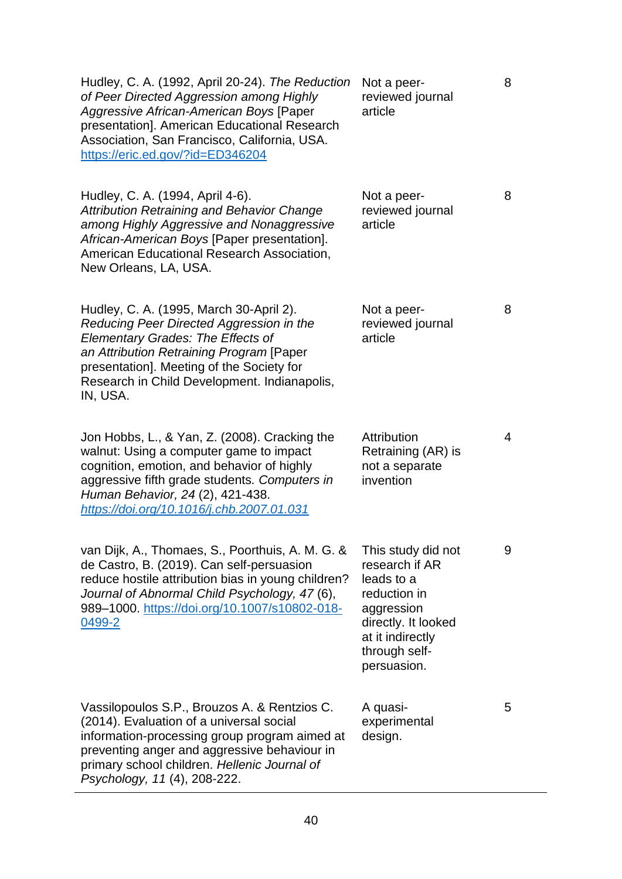| Hudley, C. A. (1992, April 20-24). The Reduction<br>of Peer Directed Aggression among Highly<br>Aggressive African-American Boys [Paper<br>presentation]. American Educational Research<br>Association, San Francisco, California, USA.<br>https://eric.ed.gov/?id=ED346204          | Not a peer-<br>reviewed journal<br>article                                                                                                                  | 8 |
|--------------------------------------------------------------------------------------------------------------------------------------------------------------------------------------------------------------------------------------------------------------------------------------|-------------------------------------------------------------------------------------------------------------------------------------------------------------|---|
| Hudley, C. A. (1994, April 4-6).<br><b>Attribution Retraining and Behavior Change</b><br>among Highly Aggressive and Nonaggressive<br>African-American Boys [Paper presentation].<br>American Educational Research Association,<br>New Orleans, LA, USA.                             | Not a peer-<br>reviewed journal<br>article                                                                                                                  | 8 |
| Hudley, C. A. (1995, March 30-April 2).<br>Reducing Peer Directed Aggression in the<br><b>Elementary Grades: The Effects of</b><br>an Attribution Retraining Program [Paper<br>presentation]. Meeting of the Society for<br>Research in Child Development. Indianapolis,<br>IN, USA. | Not a peer-<br>reviewed journal<br>article                                                                                                                  | 8 |
| Jon Hobbs, L., & Yan, Z. (2008). Cracking the<br>walnut: Using a computer game to impact<br>cognition, emotion, and behavior of highly<br>aggressive fifth grade students. Computers in<br>Human Behavior, 24 (2), 421-438.<br>https://doi.org/10.1016/j.chb.2007.01.031             | Attribution<br>Retraining (AR) is<br>not a separate<br>invention                                                                                            | 4 |
| van Dijk, A., Thomaes, S., Poorthuis, A. M. G. &<br>de Castro, B. (2019). Can self-persuasion<br>reduce hostile attribution bias in young children?<br>Journal of Abnormal Child Psychology, 47 (6),<br>989-1000. https://doi.org/10.1007/s10802-018-<br>0499-2                      | This study did not<br>research if AR<br>leads to a<br>reduction in<br>aggression<br>directly. It looked<br>at it indirectly<br>through self-<br>persuasion. | 9 |
| Vassilopoulos S.P., Brouzos A. & Rentzios C.<br>(2014). Evaluation of a universal social<br>information-processing group program aimed at<br>preventing anger and aggressive behaviour in<br>primary school children. Hellenic Journal of<br>Psychology, 11 (4), 208-222.            | A quasi-<br>experimental<br>design.                                                                                                                         | 5 |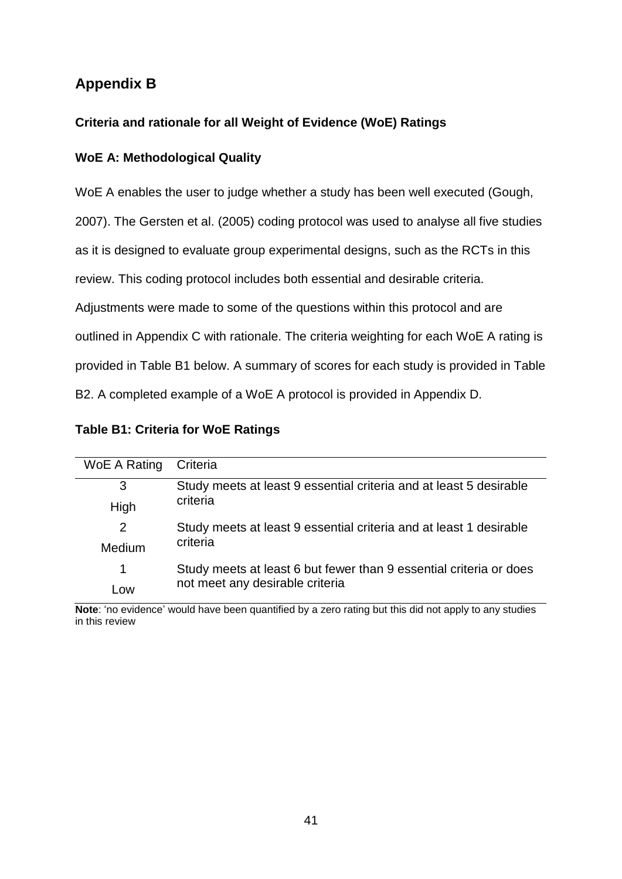# **Appendix B**

## **Criteria and rationale for all Weight of Evidence (WoE) Ratings**

## **WoE A: Methodological Quality**

WoE A enables the user to judge whether a study has been well executed (Gough,

2007). The Gersten et al. (2005) coding protocol was used to analyse all five studies

as it is designed to evaluate group experimental designs, such as the RCTs in this

review. This coding protocol includes both essential and desirable criteria.

Adjustments were made to some of the questions within this protocol and are

outlined in Appendix C with rationale. The criteria weighting for each WoE A rating is

provided in Table B1 below. A summary of scores for each study is provided in Table

B2. A completed example of a WoE A protocol is provided in Appendix D.

| WoE A Rating | Criteria                                                           |
|--------------|--------------------------------------------------------------------|
| 3            | Study meets at least 9 essential criteria and at least 5 desirable |
| High         | criteria                                                           |
| 2            | Study meets at least 9 essential criteria and at least 1 desirable |
| Medium       | criteria                                                           |
| 1            | Study meets at least 6 but fewer than 9 essential criteria or does |
| l ow         | not meet any desirable criteria                                    |

**Note**: 'no evidence' would have been quantified by a zero rating but this did not apply to any studies in this review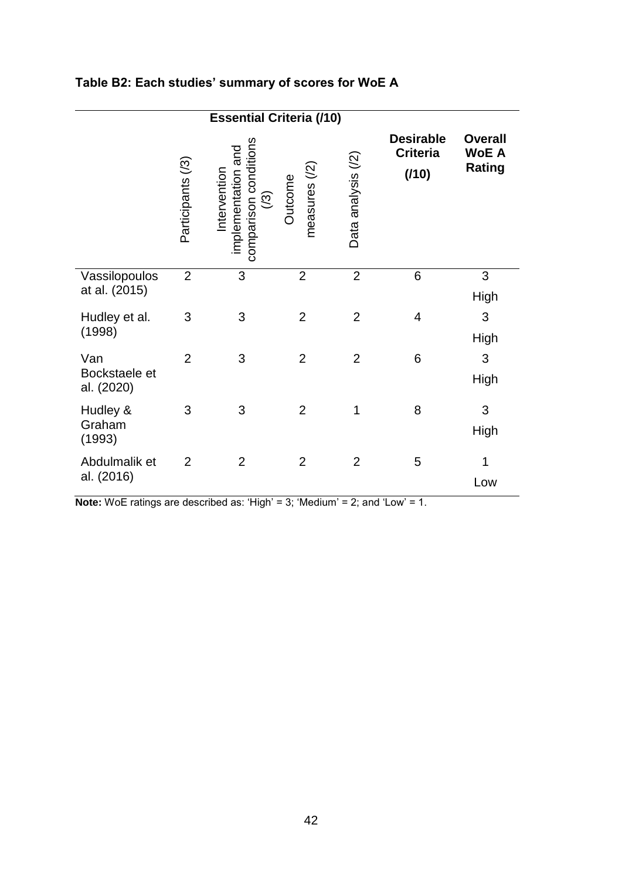| <b>Essential Criteria (/10)</b>    |                   |                                                                                |                          |                    |                                              |                                                 |
|------------------------------------|-------------------|--------------------------------------------------------------------------------|--------------------------|--------------------|----------------------------------------------|-------------------------------------------------|
|                                    | Participants (/3) | comparison conditions<br>implementation and<br>Intervention<br>$\widetilde{S}$ | measures (/2)<br>Outcome | Data analysis (/2) | <b>Desirable</b><br><b>Criteria</b><br>(110) | <b>Overall</b><br><b>WoE A</b><br><b>Rating</b> |
| Vassilopoulos<br>at al. (2015)     | $\overline{2}$    | 3                                                                              | $\overline{2}$           | $\overline{2}$     | 6                                            | 3<br>High                                       |
| Hudley et al.<br>(1998)            | 3                 | 3                                                                              | $\overline{2}$           | $\overline{2}$     | $\overline{\mathcal{A}}$                     | 3<br>High                                       |
| Van<br>Bockstaele et<br>al. (2020) | $\overline{2}$    | 3                                                                              | $\overline{2}$           | $\overline{2}$     | 6                                            | 3<br>High                                       |
| Hudley &<br>Graham<br>(1993)       | 3                 | 3                                                                              | $\overline{2}$           | 1                  | 8                                            | 3<br>High                                       |
| Abdulmalik et<br>al. (2016)        | $\overline{2}$    | $\overline{2}$                                                                 | $\overline{2}$           | $\overline{2}$     | 5                                            | 1<br>Low                                        |

# **Table B2: Each studies' summary of scores for WoE A**

**Note:** WoE ratings are described as: 'High' = 3; 'Medium' = 2; and 'Low' = 1.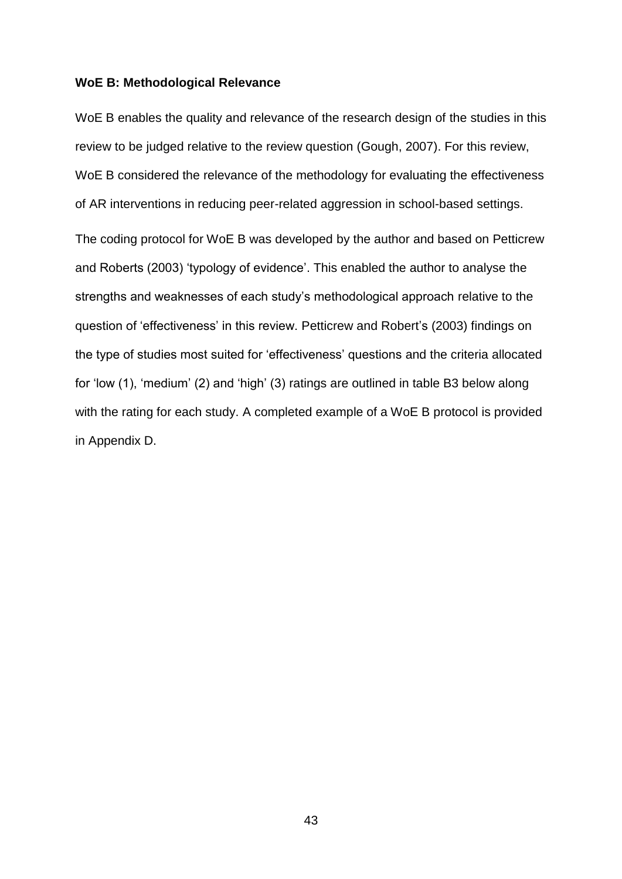### **WoE B: Methodological Relevance**

WoE B enables the quality and relevance of the research design of the studies in this review to be judged relative to the review question (Gough, 2007). For this review, WoE B considered the relevance of the methodology for evaluating the effectiveness of AR interventions in reducing peer-related aggression in school-based settings.

The coding protocol for WoE B was developed by the author and based on Petticrew and Roberts (2003) 'typology of evidence'. This enabled the author to analyse the strengths and weaknesses of each study's methodological approach relative to the question of 'effectiveness' in this review. Petticrew and Robert's (2003) findings on the type of studies most suited for 'effectiveness' questions and the criteria allocated for 'low (1), 'medium' (2) and 'high' (3) ratings are outlined in table B3 below along with the rating for each study. A completed example of a WoE B protocol is provided in Appendix D.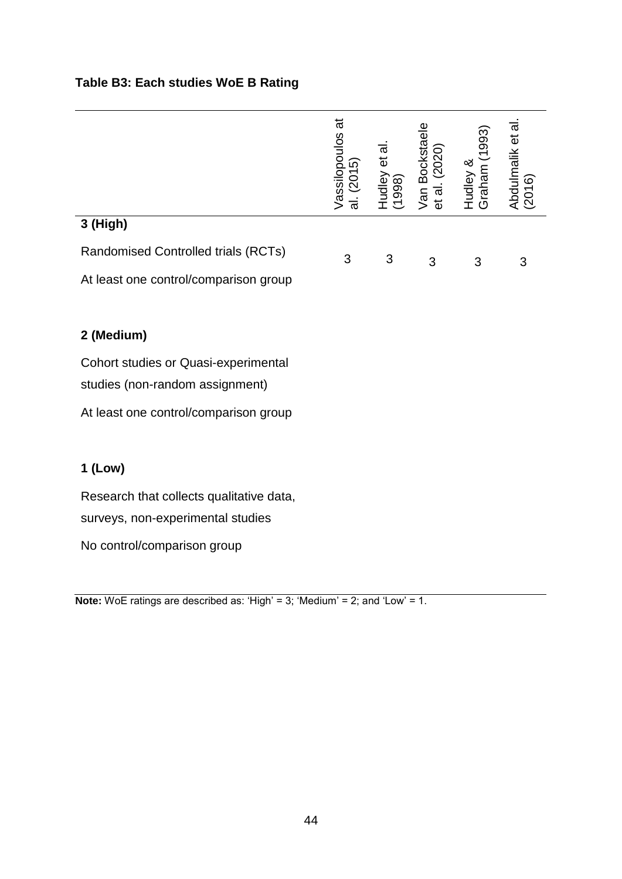# **Table B3: Each studies WoE B Rating**

|                                             | Vassilopoulos at<br>al. (2015) | Hudley et al.<br>(1998) | Van Bockstaele<br>et al. (2020) | Graham (1993)<br>Hudley & | Abdulmalik et al.<br>(2016) |
|---------------------------------------------|--------------------------------|-------------------------|---------------------------------|---------------------------|-----------------------------|
| 3 (High)                                    |                                |                         |                                 |                           |                             |
| Randomised Controlled trials (RCTs)         | 3                              | 3                       | 3                               | 3                         | 3                           |
| At least one control/comparison group       |                                |                         |                                 |                           |                             |
|                                             |                                |                         |                                 |                           |                             |
| 2 (Medium)                                  |                                |                         |                                 |                           |                             |
| <b>Cohort studies or Quasi-experimental</b> |                                |                         |                                 |                           |                             |
| studies (non-random assignment)             |                                |                         |                                 |                           |                             |
| At least one control/comparison group       |                                |                         |                                 |                           |                             |
|                                             |                                |                         |                                 |                           |                             |
| $1$ (Low)                                   |                                |                         |                                 |                           |                             |
| Research that collects qualitative data,    |                                |                         |                                 |                           |                             |
| surveys, non-experimental studies           |                                |                         |                                 |                           |                             |
| No control/comparison group                 |                                |                         |                                 |                           |                             |

**Note:** WoE ratings are described as: 'High' = 3; 'Medium' = 2; and 'Low' = 1.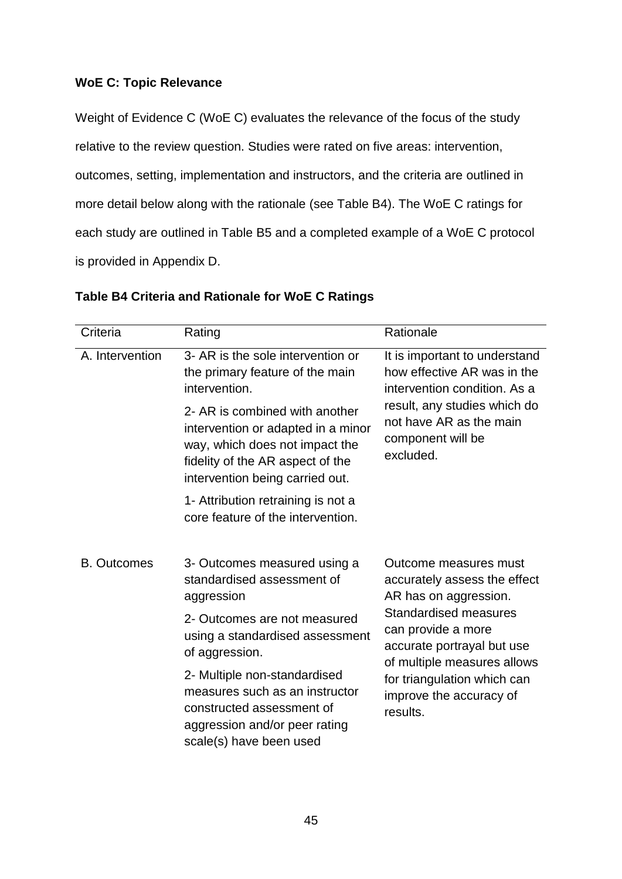## **WoE C: Topic Relevance**

Weight of Evidence C (WoE C) evaluates the relevance of the focus of the study relative to the review question. Studies were rated on five areas: intervention, outcomes, setting, implementation and instructors, and the criteria are outlined in more detail below along with the rationale (see Table B4). The WoE C ratings for each study are outlined in Table B5 and a completed example of a WoE C protocol is provided in Appendix D.

| Criteria           | Rating                                                                                                                                                                        | Rationale                                                                                                       |
|--------------------|-------------------------------------------------------------------------------------------------------------------------------------------------------------------------------|-----------------------------------------------------------------------------------------------------------------|
| A. Intervention    | 3- AR is the sole intervention or<br>the primary feature of the main<br>intervention.                                                                                         | It is important to understand<br>how effective AR was in the<br>intervention condition. As a                    |
|                    | 2- AR is combined with another<br>intervention or adapted in a minor<br>way, which does not impact the<br>fidelity of the AR aspect of the<br>intervention being carried out. | result, any studies which do<br>not have AR as the main<br>component will be<br>excluded.                       |
|                    | 1- Attribution retraining is not a<br>core feature of the intervention.                                                                                                       |                                                                                                                 |
| <b>B.</b> Outcomes | 3- Outcomes measured using a<br>standardised assessment of<br>aggression                                                                                                      | Outcome measures must<br>accurately assess the effect<br>AR has on aggression.                                  |
|                    | 2- Outcomes are not measured<br>using a standardised assessment<br>of aggression.                                                                                             | <b>Standardised measures</b><br>can provide a more<br>accurate portrayal but use<br>of multiple measures allows |
|                    | 2- Multiple non-standardised<br>measures such as an instructor<br>constructed assessment of<br>aggression and/or peer rating<br>scale(s) have been used                       | for triangulation which can<br>improve the accuracy of<br>results.                                              |

## **Table B4 Criteria and Rationale for WoE C Ratings**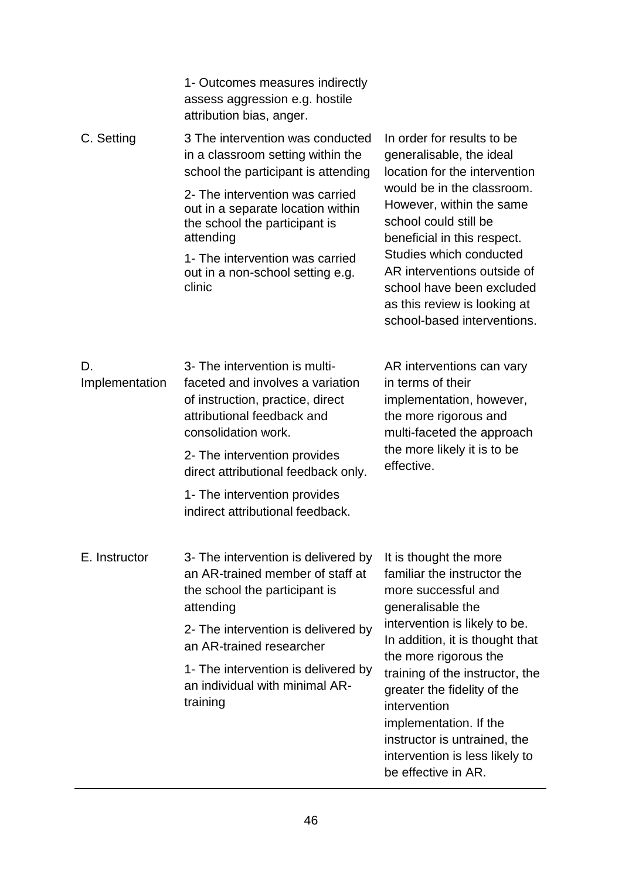|                      | 1- Outcomes measures indirectly<br>assess aggression e.g. hostile<br>attribution bias, anger.                                                              |                                                                                                                                                                                                           |  |  |
|----------------------|------------------------------------------------------------------------------------------------------------------------------------------------------------|-----------------------------------------------------------------------------------------------------------------------------------------------------------------------------------------------------------|--|--|
| C. Setting           | 3 The intervention was conducted<br>in a classroom setting within the<br>school the participant is attending                                               | In order for results to be<br>generalisable, the ideal<br>location for the intervention<br>would be in the classroom.<br>However, within the same<br>school could still be<br>beneficial in this respect. |  |  |
|                      | 2- The intervention was carried<br>out in a separate location within<br>the school the participant is<br>attending                                         |                                                                                                                                                                                                           |  |  |
|                      | 1- The intervention was carried<br>out in a non-school setting e.g.<br>clinic                                                                              | Studies which conducted<br>AR interventions outside of<br>school have been excluded<br>as this review is looking at<br>school-based interventions.                                                        |  |  |
| D.<br>Implementation | 3- The intervention is multi-<br>faceted and involves a variation<br>of instruction, practice, direct<br>attributional feedback and<br>consolidation work. | AR interventions can vary<br>in terms of their<br>implementation, however,<br>the more rigorous and<br>multi-faceted the approach                                                                         |  |  |
|                      | 2- The intervention provides<br>direct attributional feedback only.                                                                                        | the more likely it is to be<br>effective.                                                                                                                                                                 |  |  |
|                      | 1- The intervention provides<br>indirect attributional feedback.                                                                                           |                                                                                                                                                                                                           |  |  |
| E. Instructor        | 3- The intervention is delivered by<br>an AR-trained member of staff at<br>the school the participant is<br>attending                                      | It is thought the more<br>familiar the instructor the<br>more successful and<br>generalisable the                                                                                                         |  |  |
|                      | 2- The intervention is delivered by<br>an AR-trained researcher                                                                                            | intervention is likely to be.<br>In addition, it is thought that<br>the more rigorous the                                                                                                                 |  |  |
|                      | 1- The intervention is delivered by<br>an individual with minimal AR-<br>training                                                                          | training of the instructor, the<br>greater the fidelity of the<br>intervention<br>implementation. If the<br>instructor is untrained, the<br>intervention is less likely to<br>be effective in AR.         |  |  |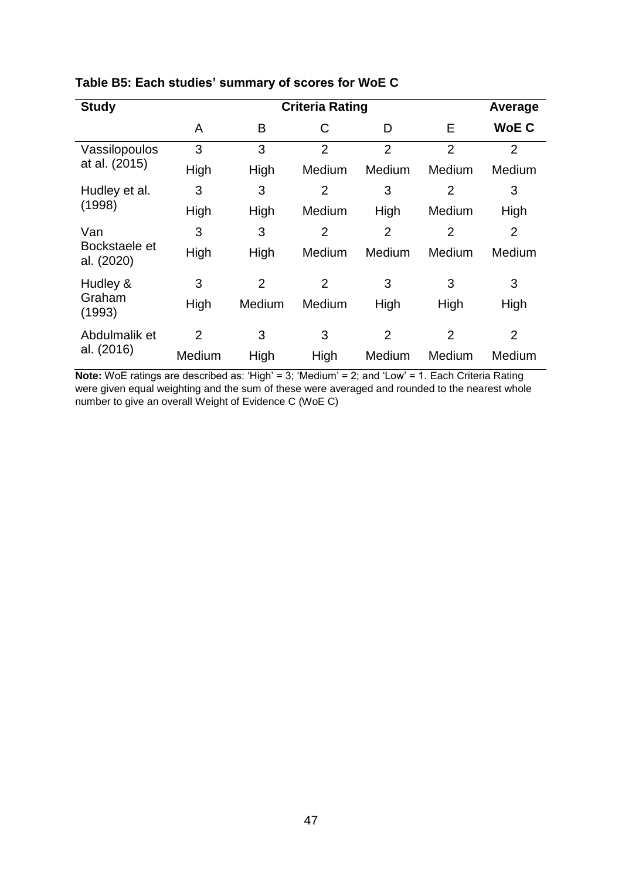| <b>Study</b>                |                | Average        |                |                |                |                |
|-----------------------------|----------------|----------------|----------------|----------------|----------------|----------------|
|                             | A              | B              | С              | D              | E              | <b>WoEC</b>    |
| Vassilopoulos               | 3              | 3              | $\overline{2}$ | $\overline{2}$ | $\overline{2}$ | $\overline{2}$ |
| at al. (2015)               | High           | High           | Medium         | Medium         | Medium         | Medium         |
| Hudley et al.               | 3              | 3              | $\overline{2}$ | 3              | $\overline{2}$ | 3              |
| (1998)                      | High           | High           | Medium         | High           | Medium         | High           |
| Van                         | 3              | 3              | $\overline{2}$ | $\overline{2}$ | 2              | $\overline{2}$ |
| Bockstaele et<br>al. (2020) | High           | High           | Medium         | Medium         | Medium         | Medium         |
| Hudley &                    | 3              | $\overline{2}$ | $\overline{2}$ | 3              | 3              | 3              |
| Graham<br>(1993)            | High           | Medium         | Medium         | High           | High           | High           |
| Abdulmalik et               | $\overline{2}$ | 3              | 3              | $\overline{2}$ | $\overline{2}$ | $\overline{2}$ |
| al. (2016)                  | Medium         | High           | High           | Medium         | Medium         | Medium         |

# **Table B5: Each studies' summary of scores for WoE C**

**Note:** WoE ratings are described as: 'High' = 3; 'Medium' = 2; and 'Low' = 1. Each Criteria Rating were given equal weighting and the sum of these were averaged and rounded to the nearest whole number to give an overall Weight of Evidence C (WoE C)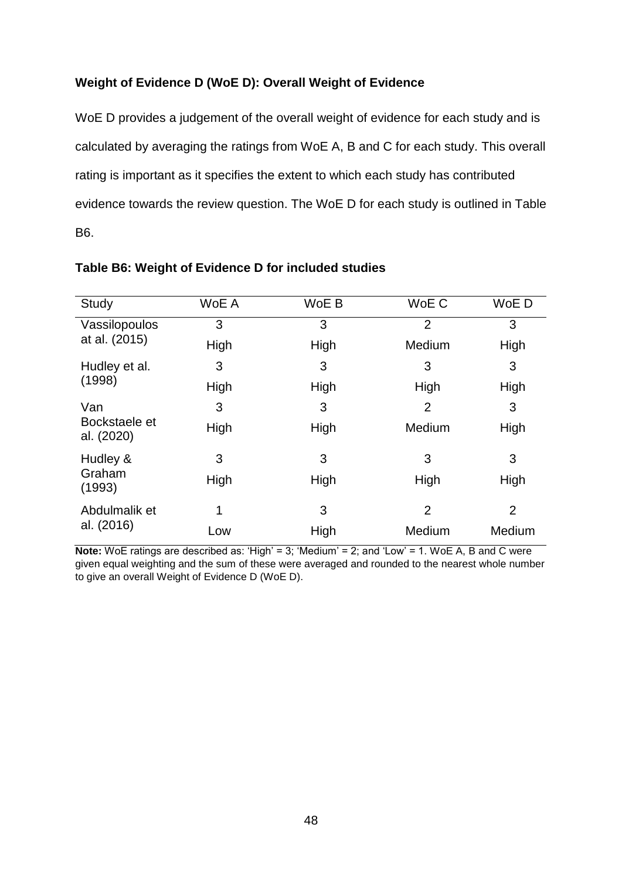## **Weight of Evidence D (WoE D): Overall Weight of Evidence**

WoE D provides a judgement of the overall weight of evidence for each study and is calculated by averaging the ratings from WoE A, B and C for each study. This overall rating is important as it specifies the extent to which each study has contributed evidence towards the review question. The WoE D for each study is outlined in Table B6.

| Study                       | WoE A | WoE B | WoE C          | WoE D          |
|-----------------------------|-------|-------|----------------|----------------|
| Vassilopoulos               | 3     | 3     | $\overline{2}$ | 3              |
| at al. (2015)               | High  | High  | Medium         | High           |
| Hudley et al.               | 3     | 3     | 3              | 3              |
| (1998)                      | High  | High  | High           | High           |
| Van                         | 3     | 3     | $\overline{2}$ | 3              |
| Bockstaele et<br>al. (2020) | High  | High  | Medium         | High           |
| Hudley &                    | 3     | 3     | 3              | 3              |
| Graham<br>(1993)            | High  | High  | High           | High           |
| Abdulmalik et               | 1     | 3     | $\overline{2}$ | $\overline{2}$ |
| al. (2016)                  | Low   | High  | Medium         | Medium         |

## **Table B6: Weight of Evidence D for included studies**

**Note:** WoE ratings are described as: 'High' = 3; 'Medium' = 2; and 'Low' = 1. WoE A, B and C were given equal weighting and the sum of these were averaged and rounded to the nearest whole number to give an overall Weight of Evidence D (WoE D).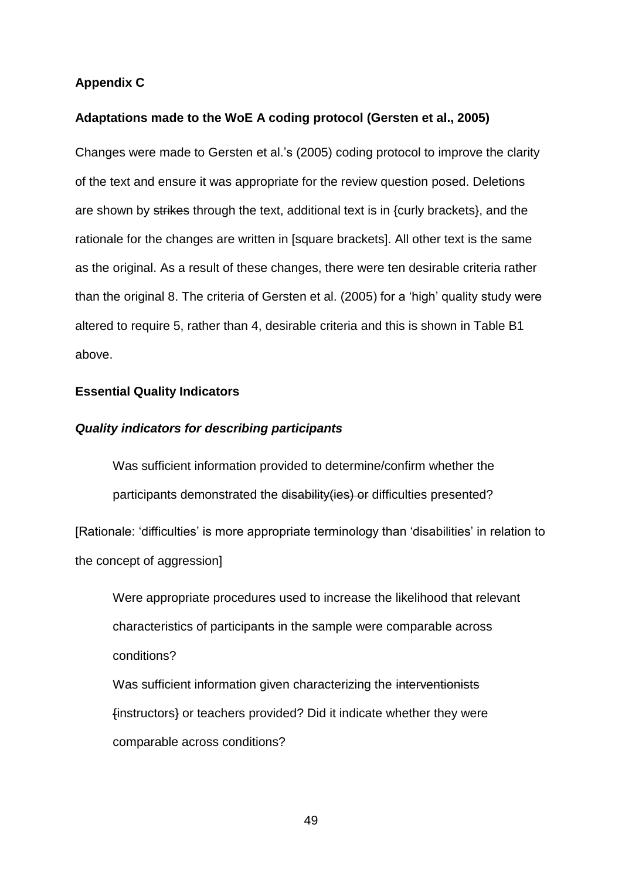### **Appendix C**

### **Adaptations made to the WoE A coding protocol (Gersten et al., 2005)**

Changes were made to Gersten et al.'s (2005) coding protocol to improve the clarity of the text and ensure it was appropriate for the review question posed. Deletions are shown by strikes through the text, additional text is in {curly brackets}, and the rationale for the changes are written in [square brackets]. All other text is the same as the original. As a result of these changes, there were ten desirable criteria rather than the original 8. The criteria of Gersten et al. (2005) for a 'high' quality study were altered to require 5, rather than 4, desirable criteria and this is shown in Table B1 above.

### **Essential Quality Indicators**

### *Quality indicators for describing participants*

Was sufficient information provided to determine/confirm whether the participants demonstrated the disability (ies) or difficulties presented?

[Rationale: 'difficulties' is more appropriate terminology than 'disabilities' in relation to the concept of aggression]

Were appropriate procedures used to increase the likelihood that relevant characteristics of participants in the sample were comparable across conditions?

Was sufficient information given characterizing the interventionists {instructors} or teachers provided? Did it indicate whether they were comparable across conditions?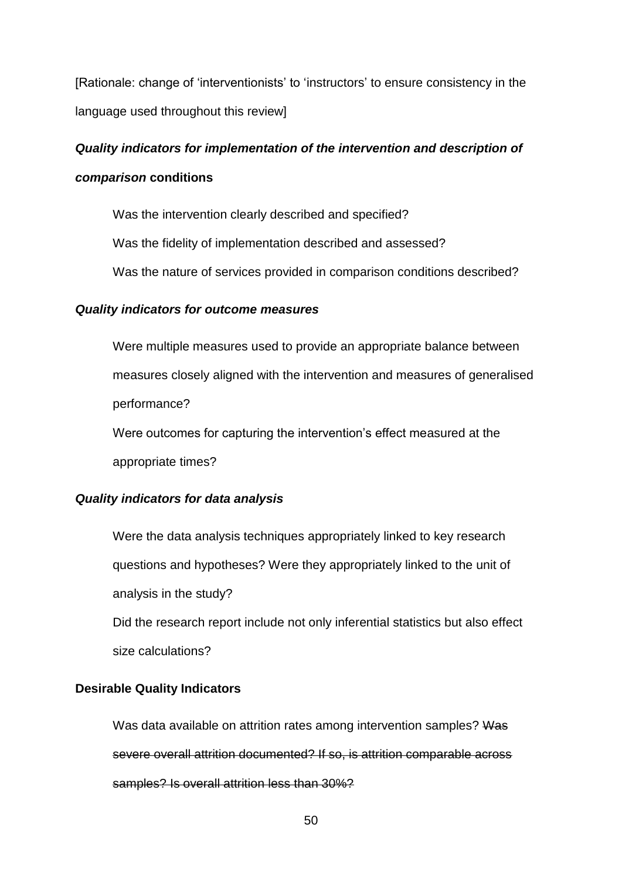[Rationale: change of 'interventionists' to 'instructors' to ensure consistency in the language used throughout this review]

# *Quality indicators for implementation of the intervention and description of comparison* **conditions**

Was the intervention clearly described and specified?

Was the fidelity of implementation described and assessed?

Was the nature of services provided in comparison conditions described?

### *Quality indicators for outcome measures*

Were multiple measures used to provide an appropriate balance between measures closely aligned with the intervention and measures of generalised performance? Were outcomes for capturing the intervention's effect measured at the

appropriate times?

### *Quality indicators for data analysis*

Were the data analysis techniques appropriately linked to key research questions and hypotheses? Were they appropriately linked to the unit of analysis in the study?

Did the research report include not only inferential statistics but also effect size calculations?

### **Desirable Quality Indicators**

Was data available on attrition rates among intervention samples? Was severe overall attrition documented? If so, is attrition comparable across samples? Is overall attrition less than 30%?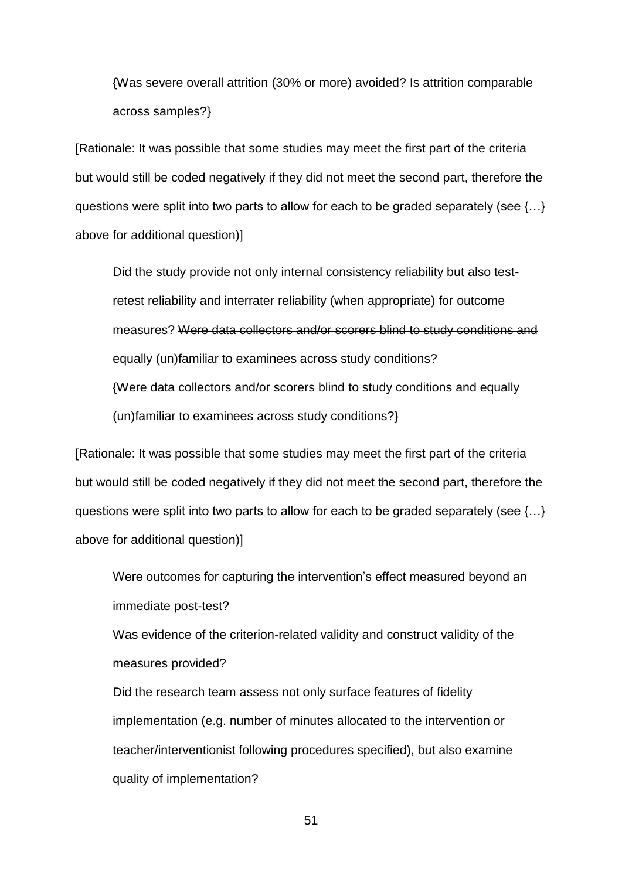{Was severe overall attrition (30% or more) avoided? Is attrition comparable across samples?}

[Rationale: It was possible that some studies may meet the first part of the criteria but would still be coded negatively if they did not meet the second part, therefore the questions were split into two parts to allow for each to be graded separately (see {…} above for additional question)]

Did the study provide not only internal consistency reliability but also testretest reliability and interrater reliability (when appropriate) for outcome measures? Were data collectors and/or scorers blind to study conditions and equally (un)familiar to examinees across study conditions? {Were data collectors and/or scorers blind to study conditions and equally

(un)familiar to examinees across study conditions?}

[Rationale: It was possible that some studies may meet the first part of the criteria but would still be coded negatively if they did not meet the second part, therefore the questions were split into two parts to allow for each to be graded separately (see {…} above for additional question)]

Were outcomes for capturing the intervention's effect measured beyond an immediate post-test?

Was evidence of the criterion-related validity and construct validity of the measures provided?

Did the research team assess not only surface features of fidelity implementation (e.g. number of minutes allocated to the intervention or teacher/interventionist following procedures specified), but also examine quality of implementation?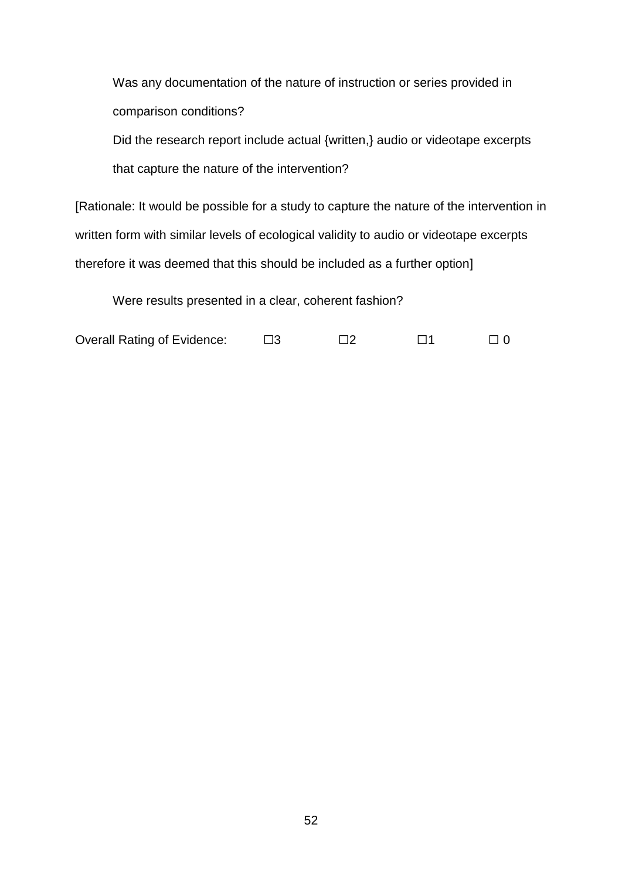Was any documentation of the nature of instruction or series provided in comparison conditions?

Did the research report include actual {written,} audio or videotape excerpts that capture the nature of the intervention?

[Rationale: It would be possible for a study to capture the nature of the intervention in written form with similar levels of ecological validity to audio or videotape excerpts therefore it was deemed that this should be included as a further option]

Were results presented in a clear, coherent fashion?

| <b>Overall Rating of Evidence:</b> |  | $\square$ 2 |  |  |
|------------------------------------|--|-------------|--|--|
|------------------------------------|--|-------------|--|--|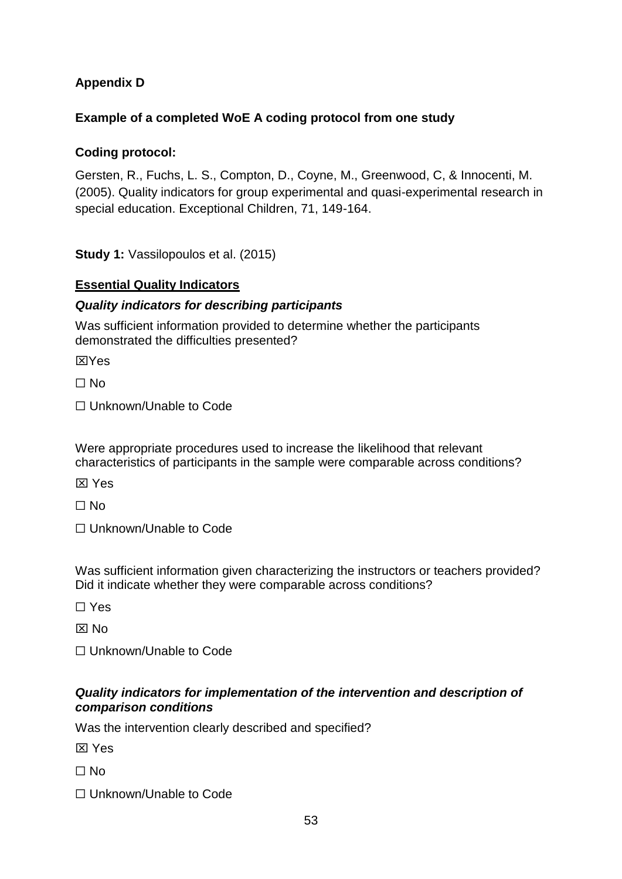## **Appendix D**

## **Example of a completed WoE A coding protocol from one study**

## **Coding protocol:**

Gersten, R., Fuchs, L. S., Compton, D., Coyne, M., Greenwood, C, & Innocenti, M. (2005). Quality indicators for group experimental and quasi-experimental research in special education. Exceptional Children, 71, 149-164.

**Study 1:** Vassilopoulos et al. (2015)

## **Essential Quality Indicators**

## *Quality indicators for describing participants*

Was sufficient information provided to determine whether the participants demonstrated the difficulties presented?

**XXYes** 

 $\Box$  No

☐ Unknown/Unable to Code

Were appropriate procedures used to increase the likelihood that relevant characteristics of participants in the sample were comparable across conditions?

**X** Yes

☐ No

☐ Unknown/Unable to Code

Was sufficient information given characterizing the instructors or teachers provided? Did it indicate whether they were comparable across conditions?

☐ Yes

 $\boxtimes$  No

☐ Unknown/Unable to Code

## *Quality indicators for implementation of the intervention and description of comparison conditions*

Was the intervention clearly described and specified?

**XX** Yes

 $\Box$  No

☐ Unknown/Unable to Code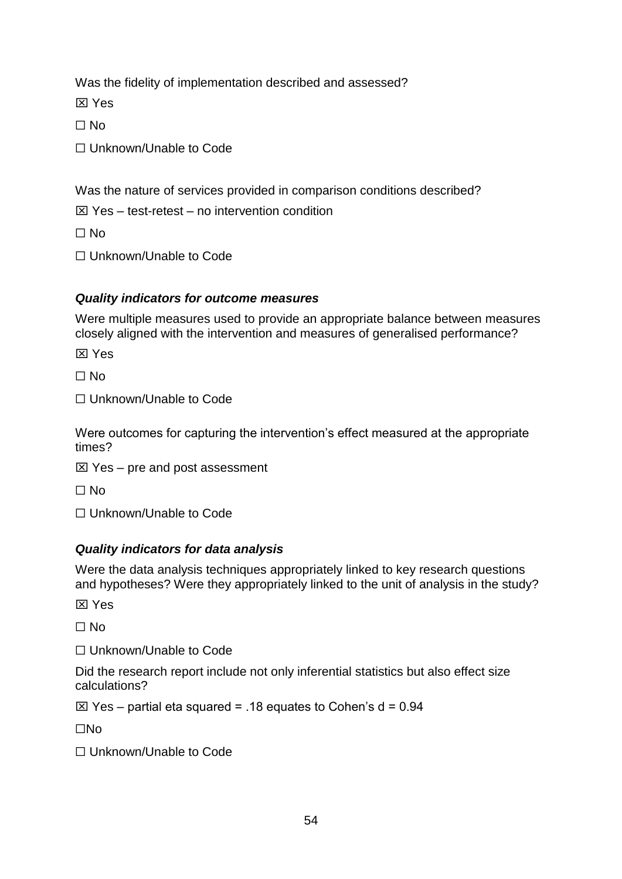Was the fidelity of implementation described and assessed?

**XX** Yes

 $\Box$  No

☐ Unknown/Unable to Code

Was the nature of services provided in comparison conditions described?

 $\boxtimes$  Yes – test-retest – no intervention condition

 $\Box$  No

☐ Unknown/Unable to Code

## *Quality indicators for outcome measures*

Were multiple measures used to provide an appropriate balance between measures closely aligned with the intervention and measures of generalised performance?

**XX** Yes

☐ No

☐ Unknown/Unable to Code

Were outcomes for capturing the intervention's effect measured at the appropriate times?

 $\boxtimes$  Yes – pre and post assessment

☐ No

☐ Unknown/Unable to Code

## *Quality indicators for data analysis*

Were the data analysis techniques appropriately linked to key research questions and hypotheses? Were they appropriately linked to the unit of analysis in the study?

**XX** Yes

 $\Box$  No

☐ Unknown/Unable to Code

Did the research report include not only inferential statistics but also effect size calculations?

 $\boxtimes$  Yes – partial eta squared = .18 equates to Cohen's d = 0.94

☐No

☐ Unknown/Unable to Code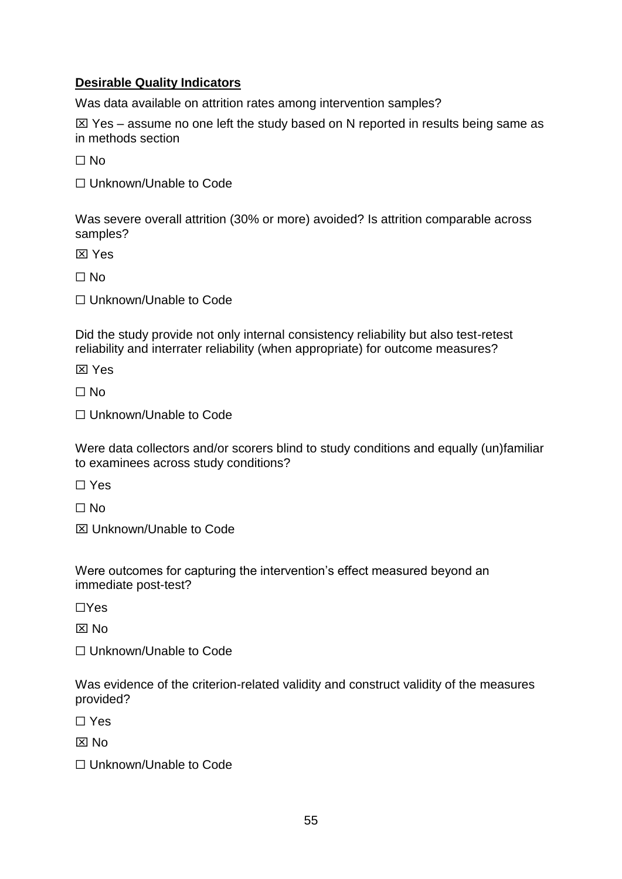## **Desirable Quality Indicators**

Was data available on attrition rates among intervention samples?

 $\boxtimes$  Yes – assume no one left the study based on N reported in results being same as in methods section

 $\Box$  No

☐ Unknown/Unable to Code

Was severe overall attrition (30% or more) avoided? Is attrition comparable across samples?

**X** Yes

 $\Box$  No

☐ Unknown/Unable to Code

Did the study provide not only internal consistency reliability but also test-retest reliability and interrater reliability (when appropriate) for outcome measures?

**X** Yes

 $\Box$  No

☐ Unknown/Unable to Code

Were data collectors and/or scorers blind to study conditions and equally (un)familiar to examinees across study conditions?

☐ Yes

☐ No

Unknown/Unable to Code

Were outcomes for capturing the intervention's effect measured beyond an immediate post-test?

☐Yes

 $\overline{X}$  No

☐ Unknown/Unable to Code

Was evidence of the criterion-related validity and construct validity of the measures provided?

☐ Yes

 $\overline{X}$  No

☐ Unknown/Unable to Code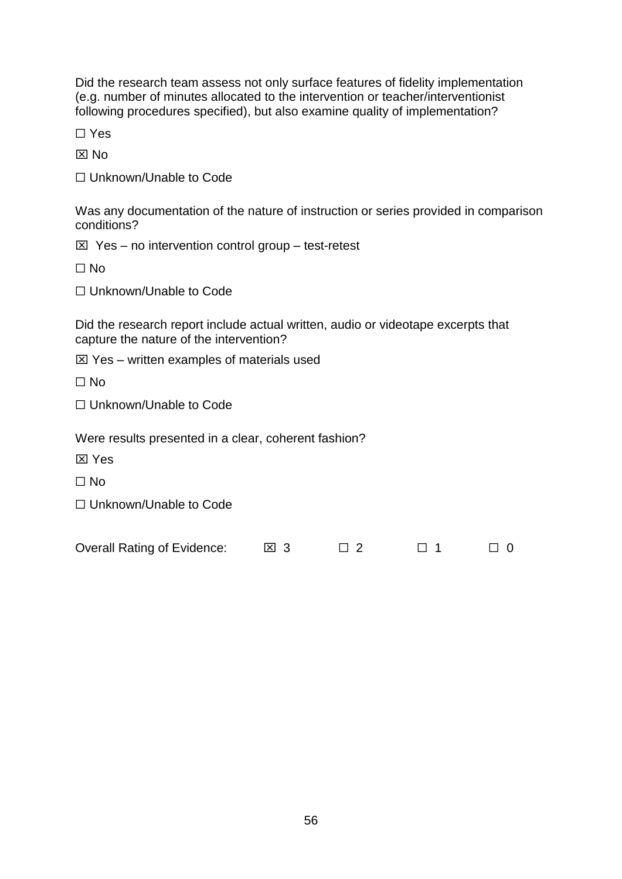Did the research team assess not only surface features of fidelity implementation (e.g. number of minutes allocated to the intervention or teacher/interventionist following procedures specified), but also examine quality of implementation?

☐ Yes

 $\boxtimes$  No

☐ Unknown/Unable to Code

Was any documentation of the nature of instruction or series provided in comparison conditions?

 $\boxtimes$  Yes – no intervention control group – test-retest

☐ No

☐ Unknown/Unable to Code

Did the research report include actual written, audio or videotape excerpts that capture the nature of the intervention?

 $\boxtimes$  Yes – written examples of materials used

 $\Box$  No

☐ Unknown/Unable to Code

Were results presented in a clear, coherent fashion?

**X** Yes

 $\Box$  No

☐ Unknown/Unable to Code

Overall Rating of Evidence:  $\boxtimes$  3  $\Box$  2  $\Box$  1  $\Box$  0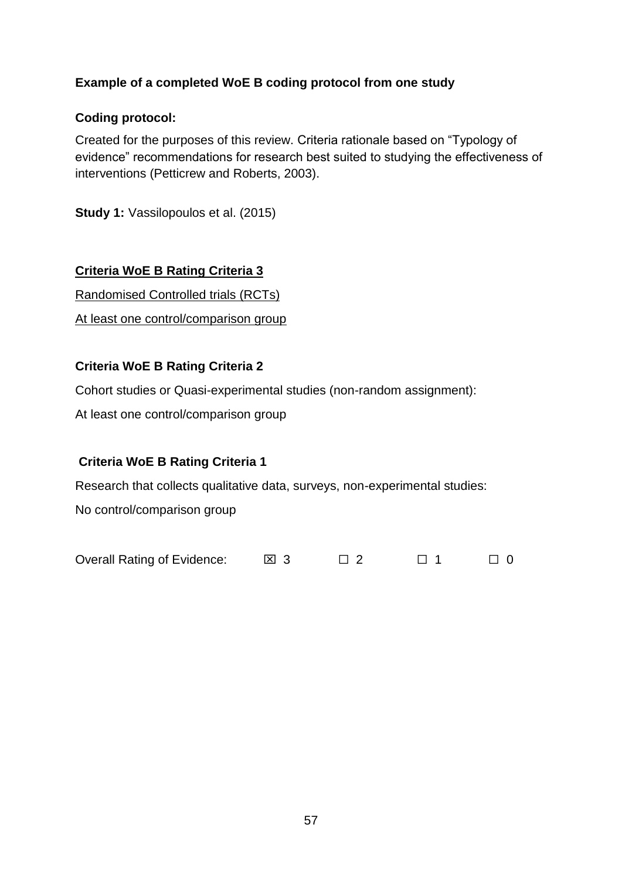## **Example of a completed WoE B coding protocol from one study**

## **Coding protocol:**

Created for the purposes of this review. Criteria rationale based on "Typology of evidence" recommendations for research best suited to studying the effectiveness of interventions (Petticrew and Roberts, 2003).

**Study 1:** Vassilopoulos et al. (2015)

## **Criteria WoE B Rating Criteria 3**

Randomised Controlled trials (RCTs)

At least one control/comparison group

## **Criteria WoE B Rating Criteria 2**

Cohort studies or Quasi-experimental studies (non-random assignment):

At least one control/comparison group

## **Criteria WoE B Rating Criteria 1**

Research that collects qualitative data, surveys, non-experimental studies:

No control/comparison group

Overall Rating of Evidence:  $\boxtimes$  3  $\Box$  2  $\Box$  1  $\Box$  0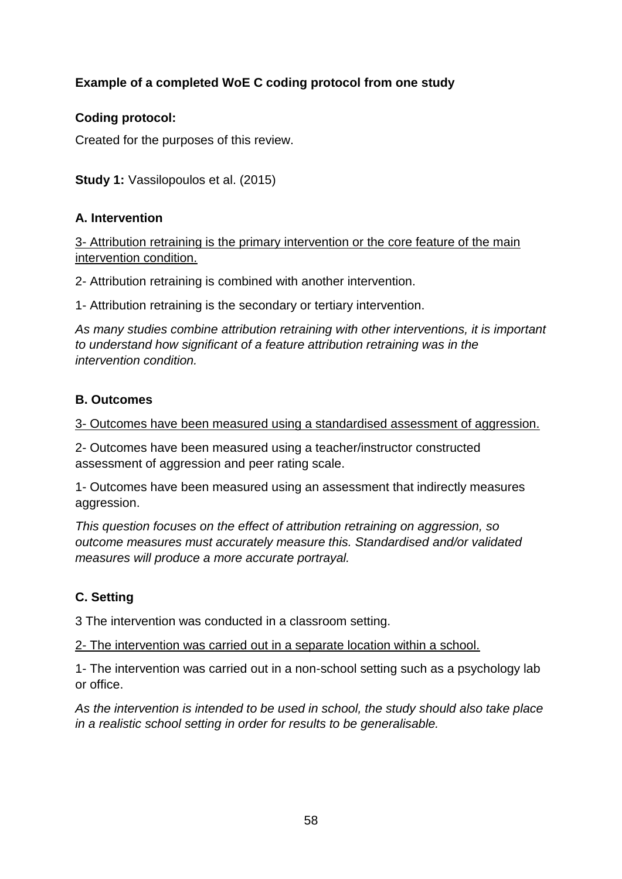## **Example of a completed WoE C coding protocol from one study**

## **Coding protocol:**

Created for the purposes of this review.

**Study 1:** Vassilopoulos et al. (2015)

## **A. Intervention**

3- Attribution retraining is the primary intervention or the core feature of the main intervention condition.

2- Attribution retraining is combined with another intervention.

1- Attribution retraining is the secondary or tertiary intervention.

*As many studies combine attribution retraining with other interventions, it is important to understand how significant of a feature attribution retraining was in the intervention condition.* 

## **B. Outcomes**

3- Outcomes have been measured using a standardised assessment of aggression.

2- Outcomes have been measured using a teacher/instructor constructed assessment of aggression and peer rating scale.

1- Outcomes have been measured using an assessment that indirectly measures aggression.

*This question focuses on the effect of attribution retraining on aggression, so outcome measures must accurately measure this. Standardised and/or validated measures will produce a more accurate portrayal.*

## **C. Setting**

3 The intervention was conducted in a classroom setting.

2- The intervention was carried out in a separate location within a school.

1- The intervention was carried out in a non-school setting such as a psychology lab or office.

*As the intervention is intended to be used in school, the study should also take place in a realistic school setting in order for results to be generalisable.*